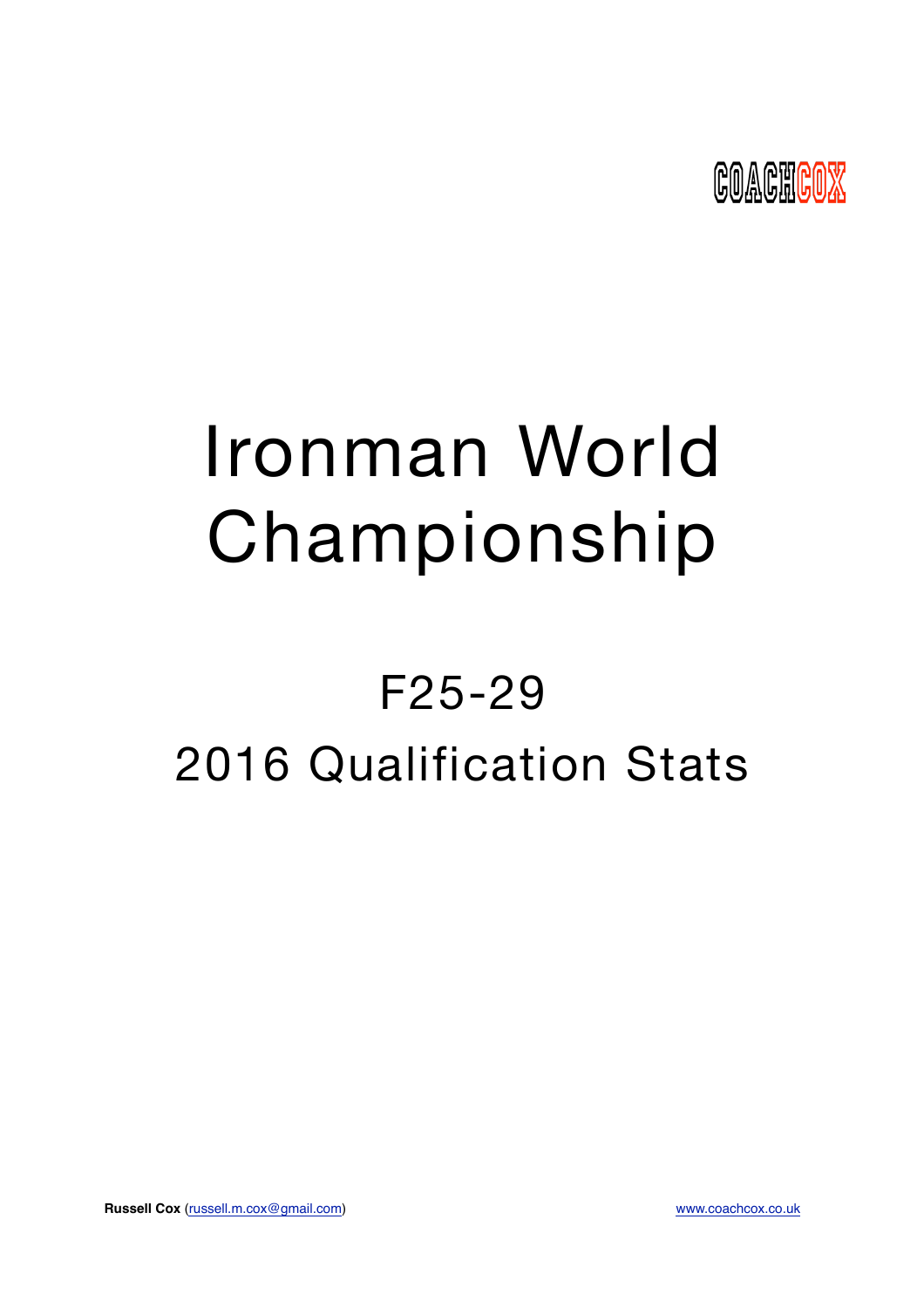

# Ironman World Championship

## F25-29 2016 Qualification Stats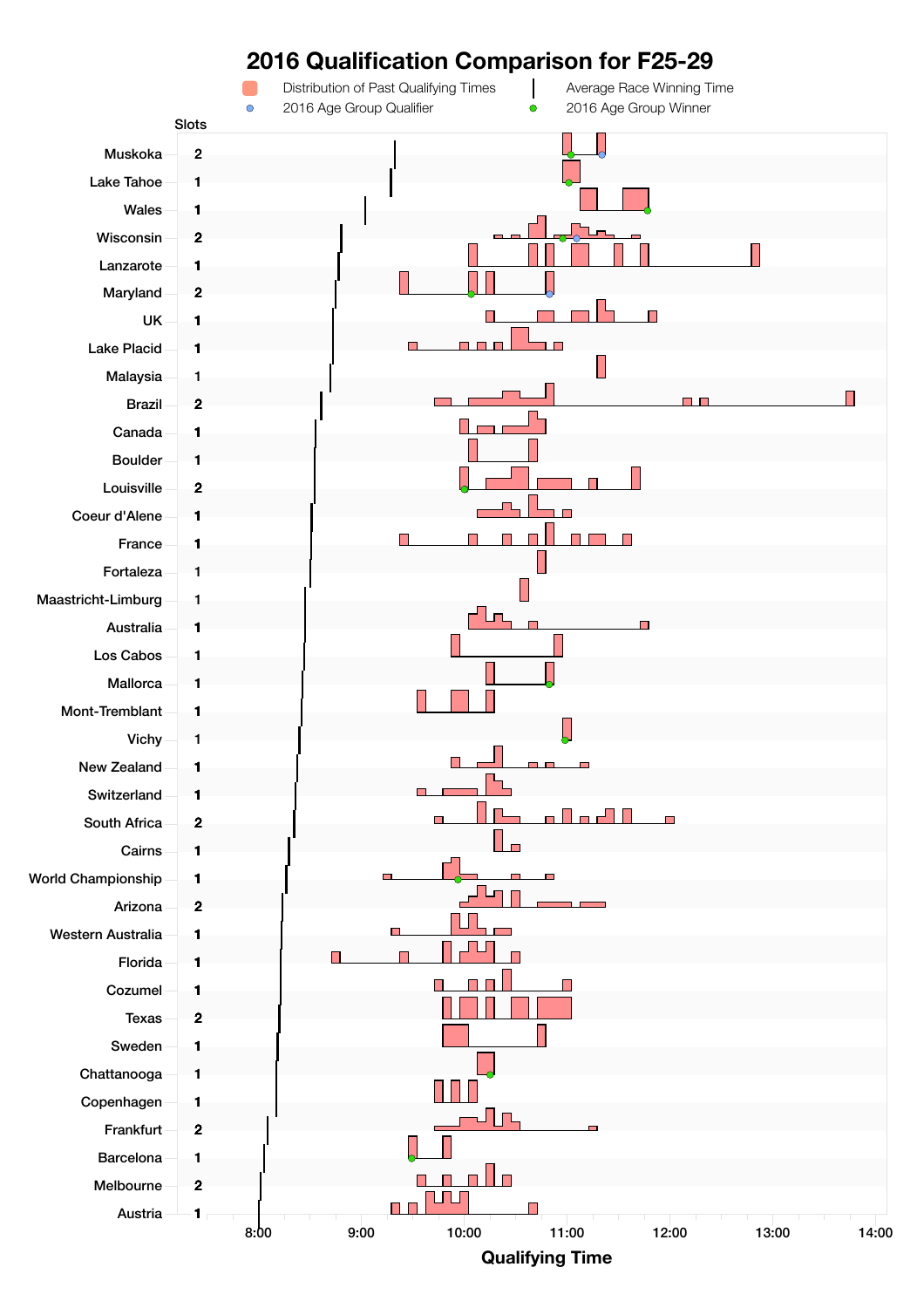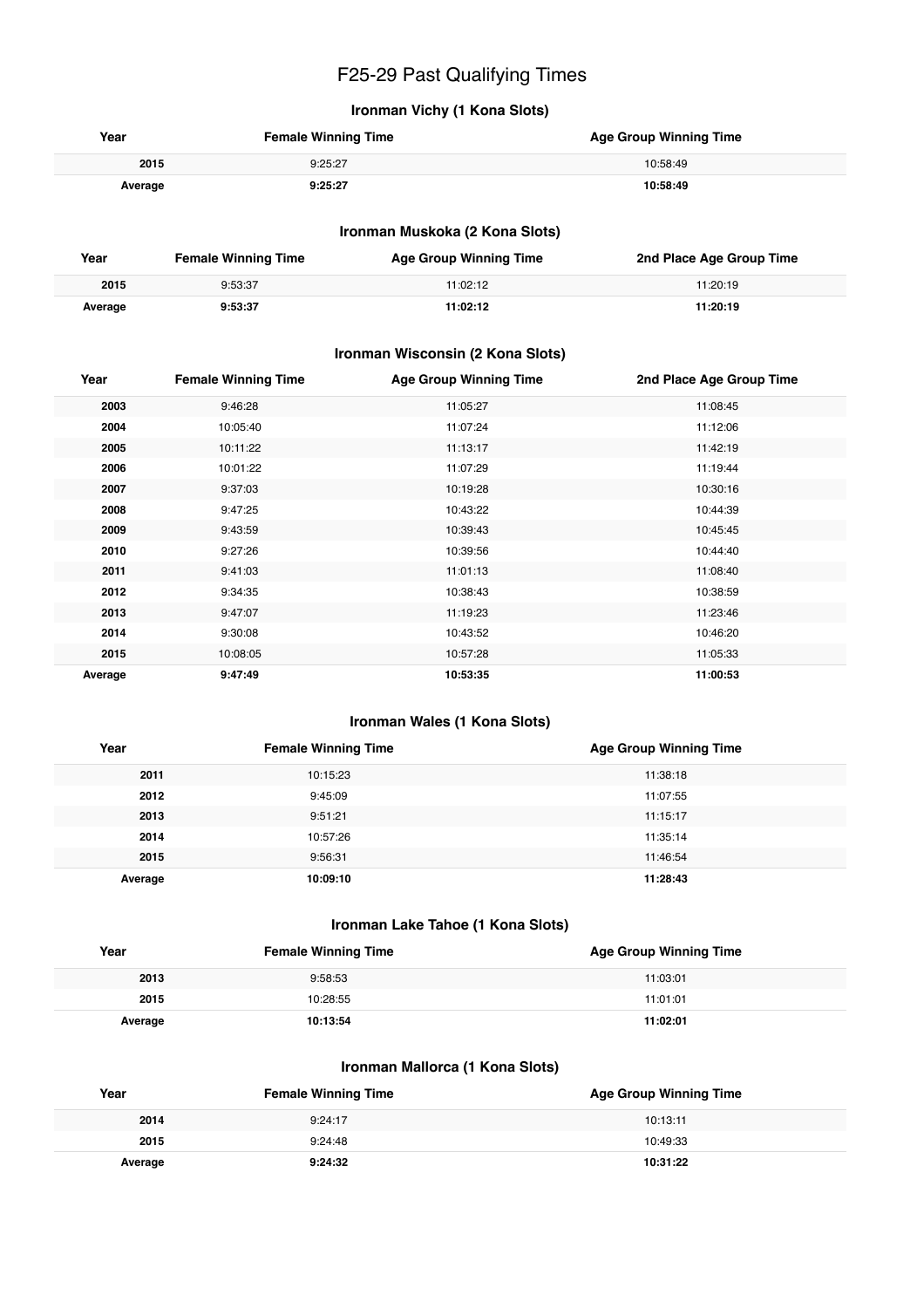## F25-29 Past Qualifying Times

#### **Ironman Vichy (1 Kona Slots)**

| Year    | <b>Female Winning Time</b> | <b>Age Group Winning Time</b> |
|---------|----------------------------|-------------------------------|
| 2015    | 9:25:27                    | 10:58:49                      |
| Average | 9:25:27                    | 10:58:49                      |

#### **Ironman Muskoka (2 Kona Slots)**

| Year    | <b>Female Winning Time</b> | <b>Age Group Winning Time</b> | 2nd Place Age Group Time |
|---------|----------------------------|-------------------------------|--------------------------|
| 2015    | 9:53:37                    | 11:02:12                      | 11:20:19                 |
| Average | 9:53:37                    | 11:02:12                      | 11:20:19                 |

#### **Ironman Wisconsin (2 Kona Slots)**

| Year    | <b>Female Winning Time</b> | <b>Age Group Winning Time</b> | 2nd Place Age Group Time |
|---------|----------------------------|-------------------------------|--------------------------|
| 2003    | 9:46:28                    | 11:05:27                      | 11:08:45                 |
| 2004    | 10:05:40                   | 11:07:24                      | 11:12:06                 |
| 2005    | 10:11:22                   | 11:13:17                      | 11:42:19                 |
| 2006    | 10:01:22                   | 11:07:29                      | 11:19:44                 |
| 2007    | 9:37:03                    | 10:19:28                      | 10:30:16                 |
| 2008    | 9:47:25                    | 10:43:22                      | 10:44:39                 |
| 2009    | 9:43:59                    | 10:39:43                      | 10:45:45                 |
| 2010    | 9:27:26                    | 10:39:56                      | 10:44:40                 |
| 2011    | 9:41:03                    | 11:01:13                      | 11:08:40                 |
| 2012    | 9:34:35                    | 10:38:43                      | 10:38:59                 |
| 2013    | 9:47:07                    | 11:19:23                      | 11:23:46                 |
| 2014    | 9:30:08                    | 10:43:52                      | 10:46:20                 |
| 2015    | 10:08:05                   | 10:57:28                      | 11:05:33                 |
| Average | 9:47:49                    | 10:53:35                      | 11:00:53                 |

#### **Ironman Wales (1 Kona Slots)**

| Year    | <b>Female Winning Time</b> | <b>Age Group Winning Time</b> |
|---------|----------------------------|-------------------------------|
| 2011    | 10:15:23                   | 11:38:18                      |
| 2012    | 9:45:09                    | 11:07:55                      |
| 2013    | 9:51:21                    | 11:15:17                      |
| 2014    | 10:57:26                   | 11:35:14                      |
| 2015    | 9:56:31                    | 11:46:54                      |
| Average | 10:09:10                   | 11:28:43                      |

#### **Ironman Lake Tahoe (1 Kona Slots)**

| Year    | <b>Female Winning Time</b> | <b>Age Group Winning Time</b> |
|---------|----------------------------|-------------------------------|
| 2013    | 9:58:53                    | 11:03:01                      |
| 2015    | 10:28:55                   | 11:01:01                      |
| Average | 10:13:54                   | 11:02:01                      |

#### **Ironman Mallorca (1 Kona Slots)**

| Year    | <b>Female Winning Time</b> | <b>Age Group Winning Time</b> |
|---------|----------------------------|-------------------------------|
| 2014    | 9:24:17                    | 10:13:11                      |
| 2015    | 9:24:48                    | 10:49:33                      |
| Average | 9:24:32                    | 10:31:22                      |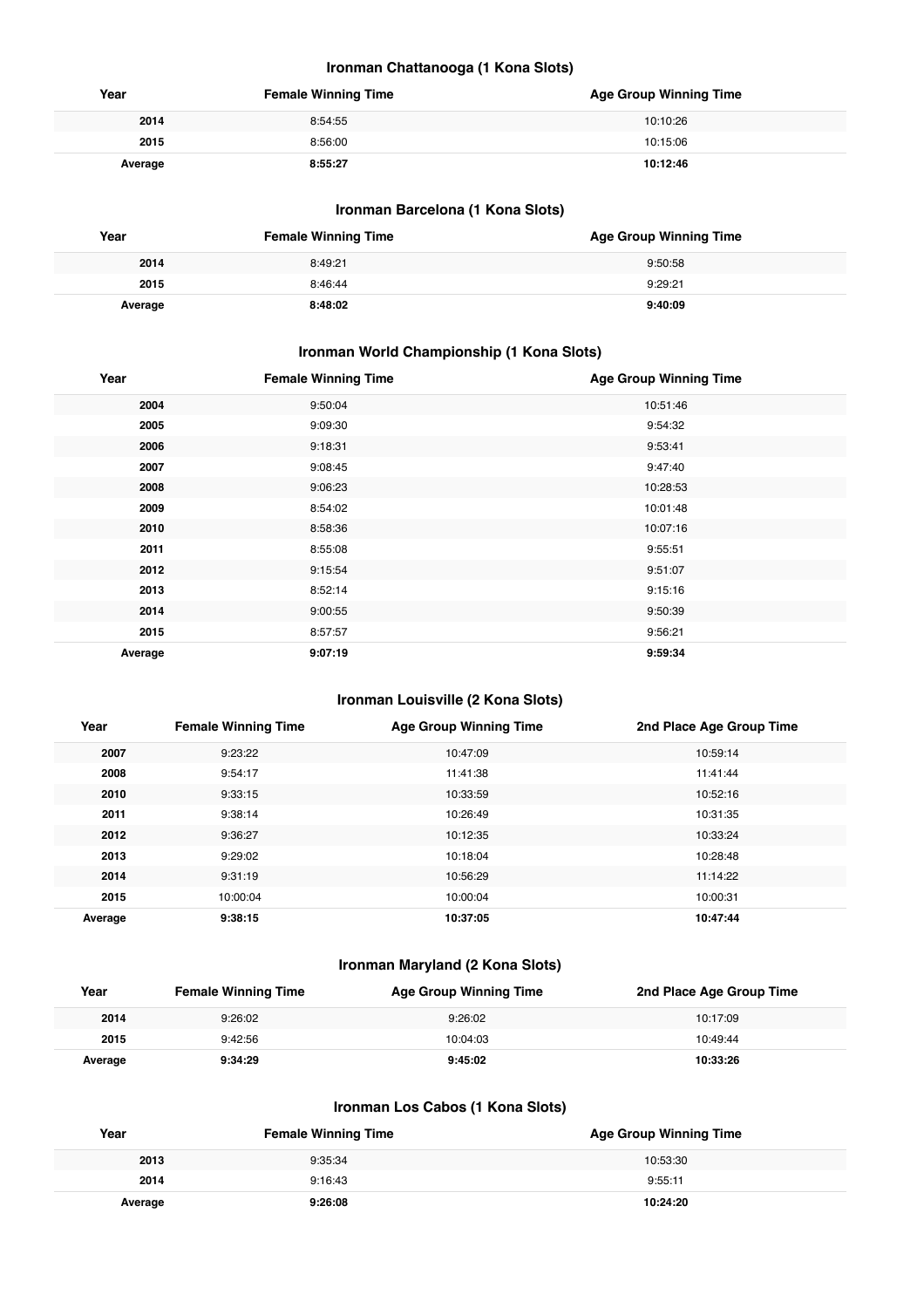#### **Ironman Chattanooga (1 Kona Slots)**

| Year    | <b>Female Winning Time</b> | <b>Age Group Winning Time</b> |
|---------|----------------------------|-------------------------------|
| 2014    | 8:54:55                    | 10:10:26                      |
| 2015    | 8:56:00                    | 10:15:06                      |
| Average | 8:55:27                    | 10:12:46                      |

#### **Ironman Barcelona (1 Kona Slots)**

| Year    | <b>Female Winning Time</b> | <b>Age Group Winning Time</b> |
|---------|----------------------------|-------------------------------|
| 2014    | 8:49:21                    | 9:50:58                       |
| 2015    | 8:46:44                    | 9:29:21                       |
| Average | 8:48:02                    | 9:40:09                       |

#### **Ironman World Championship (1 Kona Slots)**

| Year    | <b>Female Winning Time</b> | <b>Age Group Winning Time</b> |
|---------|----------------------------|-------------------------------|
| 2004    | 9:50:04                    | 10:51:46                      |
| 2005    | 9:09:30                    | 9:54:32                       |
| 2006    | 9:18:31                    | 9:53:41                       |
| 2007    | 9:08:45                    | 9:47:40                       |
| 2008    | 9:06:23                    | 10:28:53                      |
| 2009    | 8:54:02                    | 10:01:48                      |
| 2010    | 8:58:36                    | 10:07:16                      |
| 2011    | 8:55:08                    | 9:55:51                       |
| 2012    | 9:15:54                    | 9:51:07                       |
| 2013    | 8:52:14                    | 9:15:16                       |
| 2014    | 9:00:55                    | 9:50:39                       |
| 2015    | 8:57:57                    | 9:56:21                       |
| Average | 9:07:19                    | 9:59:34                       |

#### **Ironman Louisville (2 Kona Slots)**

| Year    | <b>Female Winning Time</b> | <b>Age Group Winning Time</b> | 2nd Place Age Group Time |
|---------|----------------------------|-------------------------------|--------------------------|
| 2007    | 9:23:22                    | 10:47:09                      | 10:59:14                 |
| 2008    | 9:54:17                    | 11:41:38                      | 11:41:44                 |
| 2010    | 9:33:15                    | 10:33:59                      | 10:52:16                 |
| 2011    | 9:38:14                    | 10:26:49                      | 10:31:35                 |
| 2012    | 9:36:27                    | 10:12:35                      | 10:33:24                 |
| 2013    | 9:29:02                    | 10:18:04                      | 10:28:48                 |
| 2014    | 9:31:19                    | 10:56:29                      | 11:14:22                 |
| 2015    | 10:00:04                   | 10:00:04                      | 10:00:31                 |
| Average | 9:38:15                    | 10:37:05                      | 10:47:44                 |

#### **Ironman Maryland (2 Kona Slots)**

| Year    | <b>Female Winning Time</b> | Age Group Winning Time | 2nd Place Age Group Time |
|---------|----------------------------|------------------------|--------------------------|
| 2014    | 9:26:02                    | 9:26:02                | 10:17:09                 |
| 2015    | 9:42:56                    | 10:04:03               | 10:49:44                 |
| Average | 9:34:29                    | 9:45:02                | 10:33:26                 |

#### **Ironman Los Cabos (1 Kona Slots)**

| Year    | <b>Female Winning Time</b> | <b>Age Group Winning Time</b> |
|---------|----------------------------|-------------------------------|
| 2013    | 9:35:34                    | 10:53:30                      |
| 2014    | 9:16:43                    | 9:55:11                       |
| Average | 9:26:08                    | 10:24:20                      |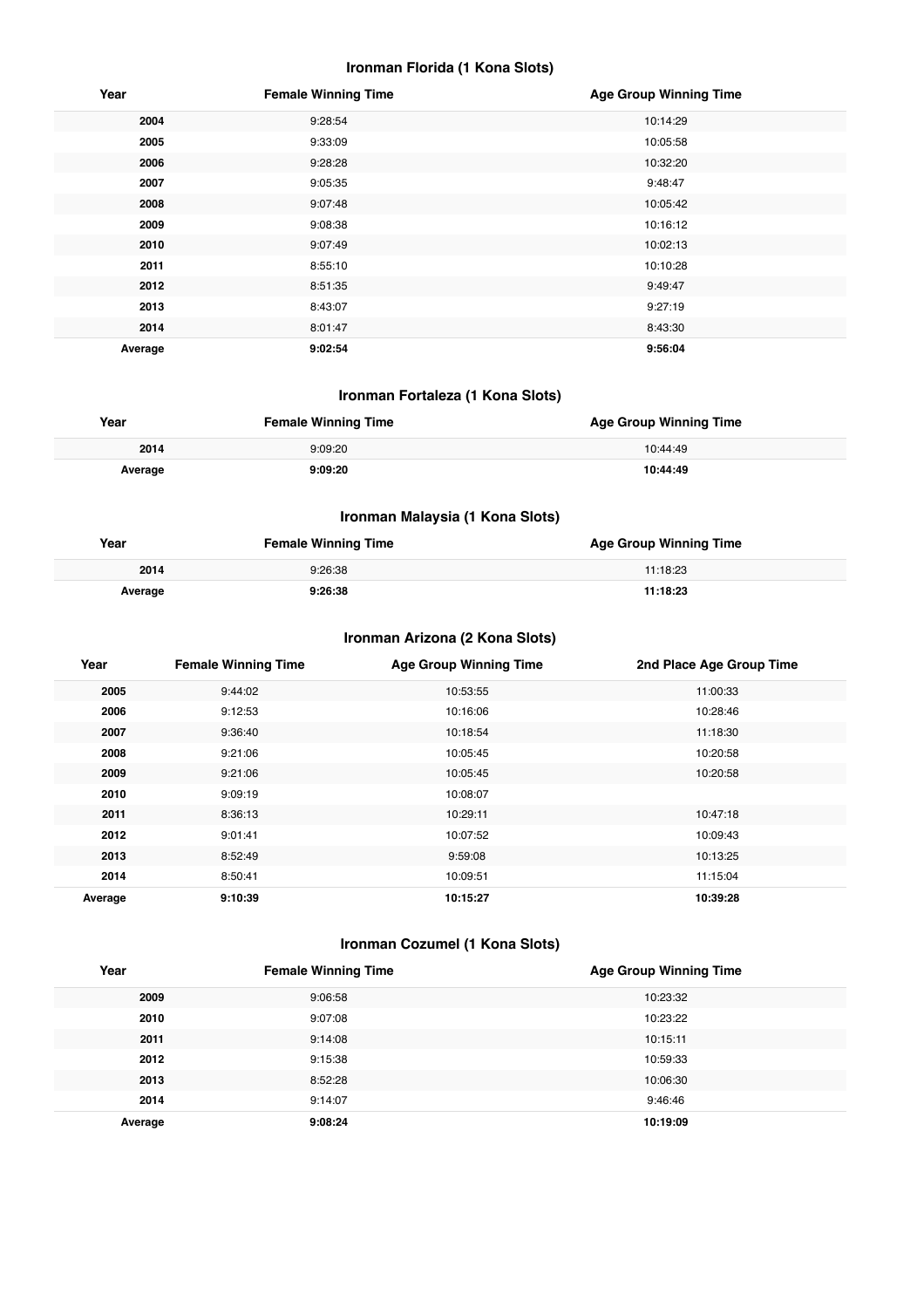#### **Ironman Florida (1 Kona Slots)**

| Year    | <b>Female Winning Time</b> | <b>Age Group Winning Time</b> |
|---------|----------------------------|-------------------------------|
| 2004    | 9:28:54                    | 10:14:29                      |
| 2005    | 9:33:09                    | 10:05:58                      |
| 2006    | 9:28:28                    | 10:32:20                      |
| 2007    | 9:05:35                    | 9:48:47                       |
| 2008    | 9:07:48                    | 10:05:42                      |
| 2009    | 9:08:38                    | 10:16:12                      |
| 2010    | 9:07:49                    | 10:02:13                      |
| 2011    | 8:55:10                    | 10:10:28                      |
| 2012    | 8:51:35                    | 9:49:47                       |
| 2013    | 8:43:07                    | 9:27:19                       |
| 2014    | 8:01:47                    | 8:43:30                       |
| Average | 9:02:54                    | 9:56:04                       |

#### **Ironman Fortaleza (1 Kona Slots)**

| Year    | <b>Female Winning Time</b> | <b>Age Group Winning Time</b> |
|---------|----------------------------|-------------------------------|
| 2014    | 9:09:20                    | 10:44:49                      |
| Average | 9:09:20                    | 10:44:49                      |

#### **Ironman Malaysia (1 Kona Slots)**

| Year    | <b>Female Winning Time</b> | <b>Age Group Winning Time</b> |
|---------|----------------------------|-------------------------------|
| 2014    | 9:26:38                    | 11:18:23                      |
| Average | 9:26:38                    | 11:18:23                      |

#### **Ironman Arizona (2 Kona Slots)**

| Year    | <b>Female Winning Time</b> | <b>Age Group Winning Time</b> | 2nd Place Age Group Time |
|---------|----------------------------|-------------------------------|--------------------------|
| 2005    | 9:44:02                    | 10:53:55                      | 11:00:33                 |
| 2006    | 9:12:53                    | 10:16:06                      | 10:28:46                 |
| 2007    | 9:36:40                    | 10:18:54                      | 11:18:30                 |
| 2008    | 9:21:06                    | 10:05:45                      | 10:20:58                 |
| 2009    | 9:21:06                    | 10:05:45                      | 10:20:58                 |
| 2010    | 9:09:19                    | 10:08:07                      |                          |
| 2011    | 8:36:13                    | 10:29:11                      | 10:47:18                 |
| 2012    | 9:01:41                    | 10:07:52                      | 10:09:43                 |
| 2013    | 8:52:49                    | 9:59:08                       | 10:13:25                 |
| 2014    | 8:50:41                    | 10:09:51                      | 11:15:04                 |
| Average | 9:10:39                    | 10:15:27                      | 10:39:28                 |

#### **Ironman Cozumel (1 Kona Slots)**

| Year    | <b>Female Winning Time</b> | <b>Age Group Winning Time</b> |
|---------|----------------------------|-------------------------------|
| 2009    | 9:06:58                    | 10:23:32                      |
| 2010    | 9:07:08                    | 10:23:22                      |
| 2011    | 9:14:08                    | 10:15:11                      |
| 2012    | 9:15:38                    | 10:59:33                      |
| 2013    | 8:52:28                    | 10:06:30                      |
| 2014    | 9:14:07                    | 9:46:46                       |
| Average | 9:08:24                    | 10:19:09                      |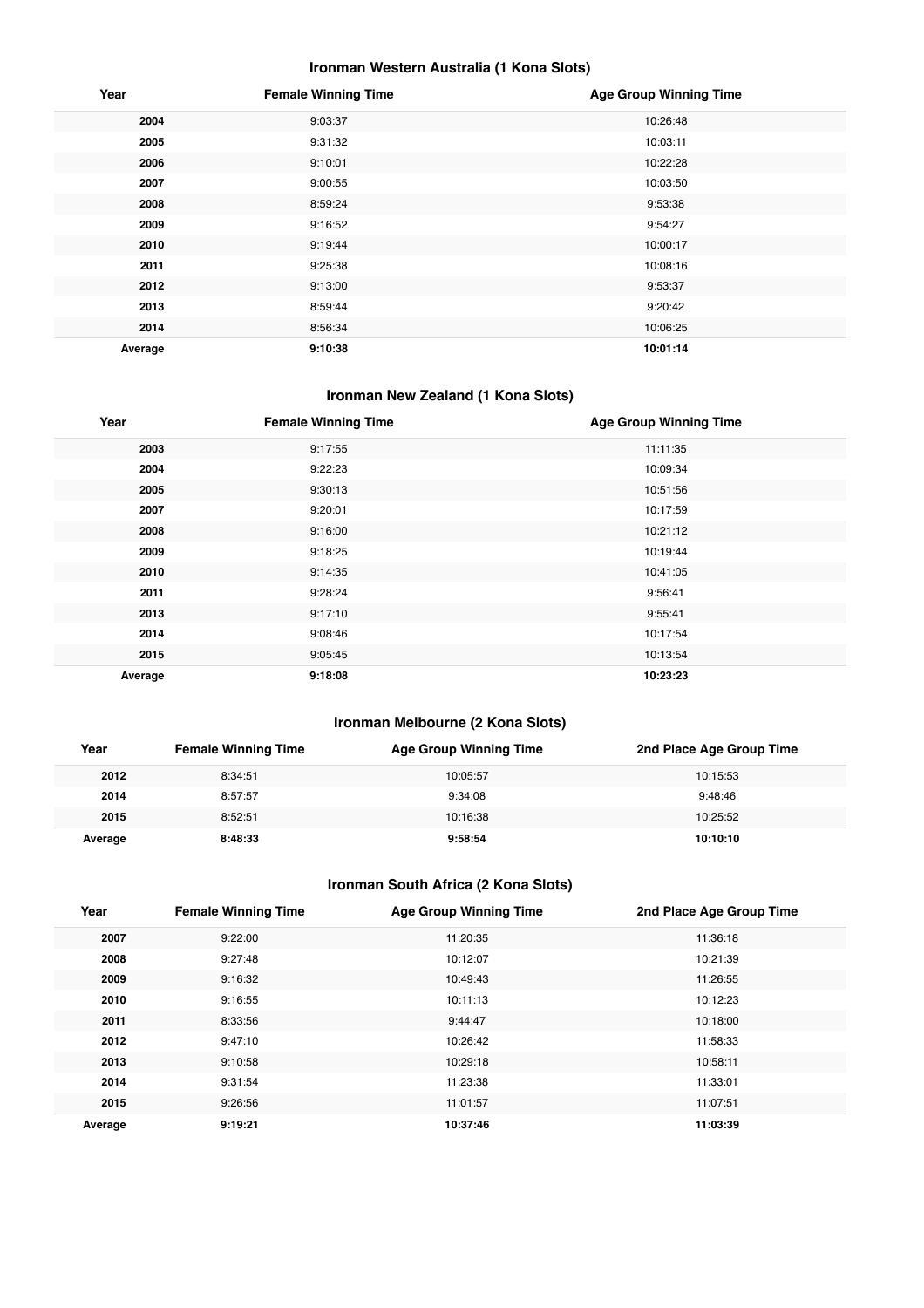#### **Ironman Western Australia (1 Kona Slots)**

| Year    | <b>Female Winning Time</b> | <b>Age Group Winning Time</b> |
|---------|----------------------------|-------------------------------|
| 2004    | 9:03:37                    | 10:26:48                      |
| 2005    | 9:31:32                    | 10:03:11                      |
| 2006    | 9:10:01                    | 10:22:28                      |
| 2007    | 9:00:55                    | 10:03:50                      |
| 2008    | 8:59:24                    | 9:53:38                       |
| 2009    | 9:16:52                    | 9:54:27                       |
| 2010    | 9:19:44                    | 10:00:17                      |
| 2011    | 9:25:38                    | 10:08:16                      |
| 2012    | 9:13:00                    | 9:53:37                       |
| 2013    | 8:59:44                    | 9:20:42                       |
| 2014    | 8:56:34                    | 10:06:25                      |
| Average | 9:10:38                    | 10:01:14                      |

## **Ironman New Zealand (1 Kona Slots)**

| Year    | <b>Female Winning Time</b> | <b>Age Group Winning Time</b> |
|---------|----------------------------|-------------------------------|
| 2003    | 9:17:55                    | 11:11:35                      |
| 2004    | 9:22:23                    | 10:09:34                      |
| 2005    | 9:30:13                    | 10:51:56                      |
| 2007    | 9:20:01                    | 10:17:59                      |
| 2008    | 9:16:00                    | 10:21:12                      |
| 2009    | 9:18:25                    | 10:19:44                      |
| 2010    | 9:14:35                    | 10:41:05                      |
| 2011    | 9:28:24                    | 9:56:41                       |
| 2013    | 9:17:10                    | 9:55:41                       |
| 2014    | 9:08:46                    | 10:17:54                      |
| 2015    | 9:05:45                    | 10:13:54                      |
| Average | 9:18:08                    | 10:23:23                      |

#### **Ironman Melbourne (2 Kona Slots)**

| Year    | <b>Female Winning Time</b> | <b>Age Group Winning Time</b> | 2nd Place Age Group Time |
|---------|----------------------------|-------------------------------|--------------------------|
| 2012    | 8:34:51                    | 10:05:57                      | 10:15:53                 |
| 2014    | 8:57:57                    | 9:34:08                       | 9:48:46                  |
| 2015    | 8:52:51                    | 10:16:38                      | 10:25:52                 |
| Average | 8:48:33                    | 9:58:54                       | 10:10:10                 |

#### **Ironman South Africa (2 Kona Slots)**

| Year    | <b>Female Winning Time</b> | <b>Age Group Winning Time</b> | 2nd Place Age Group Time |
|---------|----------------------------|-------------------------------|--------------------------|
| 2007    | 9:22:00                    | 11:20:35                      | 11:36:18                 |
| 2008    | 9:27:48                    | 10:12:07                      | 10:21:39                 |
| 2009    | 9:16:32                    | 10:49:43                      | 11:26:55                 |
| 2010    | 9:16:55                    | 10:11:13                      | 10:12:23                 |
| 2011    | 8:33:56                    | 9:44:47                       | 10:18:00                 |
| 2012    | 9:47:10                    | 10:26:42                      | 11:58:33                 |
| 2013    | 9:10:58                    | 10:29:18                      | 10:58:11                 |
| 2014    | 9:31:54                    | 11:23:38                      | 11:33:01                 |
| 2015    | 9:26:56                    | 11:01:57                      | 11:07:51                 |
| Average | 9:19:21                    | 10:37:46                      | 11:03:39                 |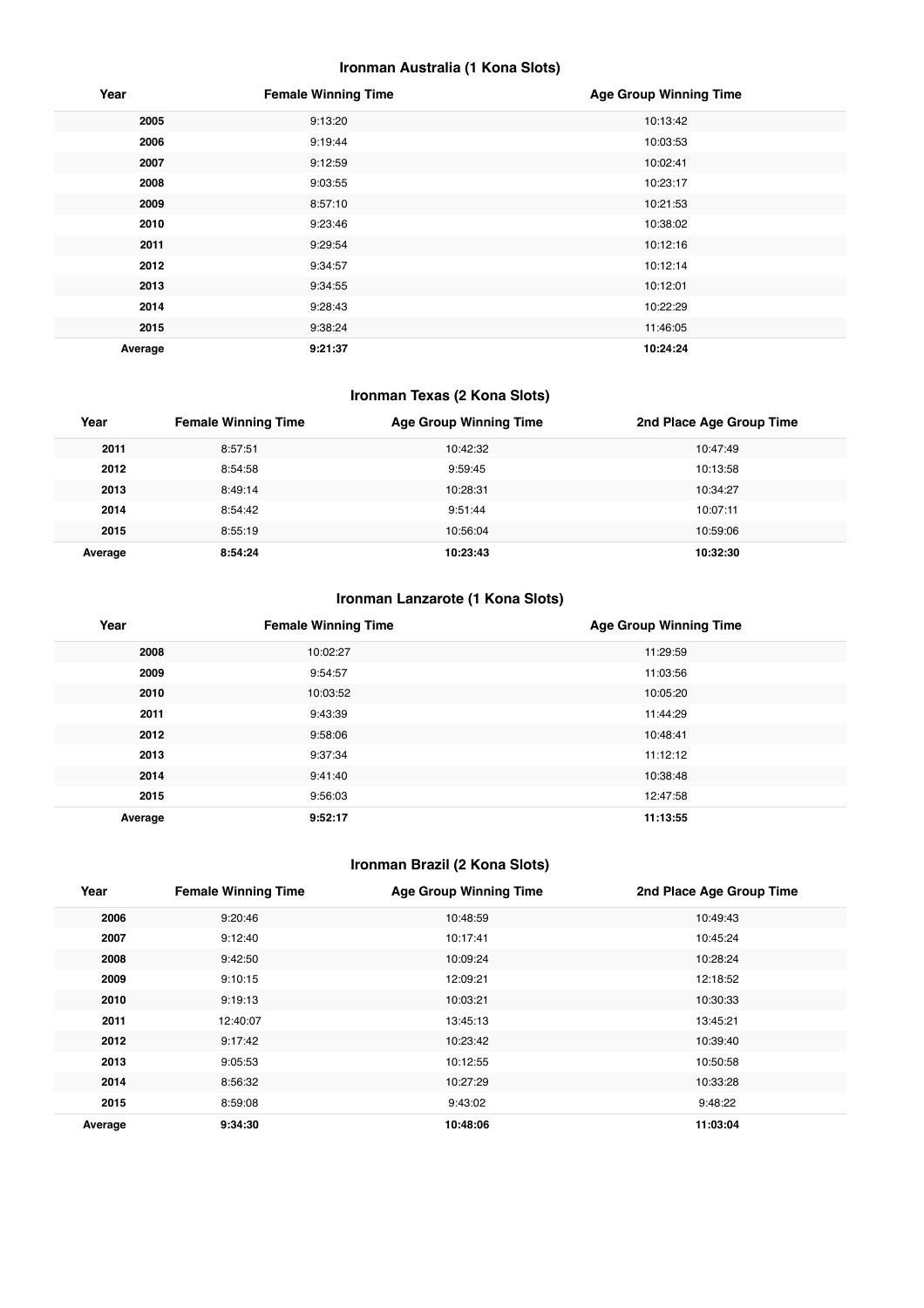#### **Ironman Australia (1 Kona Slots)**

| Year    | <b>Female Winning Time</b> | <b>Age Group Winning Time</b> |
|---------|----------------------------|-------------------------------|
| 2005    | 9:13:20                    | 10:13:42                      |
| 2006    | 9:19:44                    | 10:03:53                      |
| 2007    | 9:12:59                    | 10:02:41                      |
| 2008    | 9:03:55                    | 10:23:17                      |
| 2009    | 8:57:10                    | 10:21:53                      |
| 2010    | 9:23:46                    | 10:38:02                      |
| 2011    | 9:29:54                    | 10:12:16                      |
| 2012    | 9:34:57                    | 10:12:14                      |
| 2013    | 9:34:55                    | 10:12:01                      |
| 2014    | 9:28:43                    | 10:22:29                      |
| 2015    | 9:38:24                    | 11:46:05                      |
| Average | 9:21:37                    | 10:24:24                      |

## **Ironman Texas (2 Kona Slots)**

| Year    | <b>Female Winning Time</b> | <b>Age Group Winning Time</b> | 2nd Place Age Group Time |
|---------|----------------------------|-------------------------------|--------------------------|
| 2011    | 8:57:51                    | 10:42:32                      | 10:47:49                 |
| 2012    | 8:54:58                    | 9:59:45                       | 10:13:58                 |
| 2013    | 8:49:14                    | 10:28:31                      | 10:34:27                 |
| 2014    | 8:54:42                    | 9:51:44                       | 10:07:11                 |
| 2015    | 8:55:19                    | 10:56:04                      | 10:59:06                 |
| Average | 8:54:24                    | 10:23:43                      | 10:32:30                 |

#### **Ironman Lanzarote (1 Kona Slots)**

| Year    | <b>Female Winning Time</b> | <b>Age Group Winning Time</b> |
|---------|----------------------------|-------------------------------|
| 2008    | 10:02:27                   | 11:29:59                      |
| 2009    | 9:54:57                    | 11:03:56                      |
| 2010    | 10:03:52                   | 10:05:20                      |
| 2011    | 9:43:39                    | 11:44:29                      |
| 2012    | 9:58:06                    | 10:48:41                      |
| 2013    | 9:37:34                    | 11:12:12                      |
| 2014    | 9:41:40                    | 10:38:48                      |
| 2015    | 9:56:03                    | 12:47:58                      |
| Average | 9:52:17                    | 11:13:55                      |

## **Ironman Brazil (2 Kona Slots)**

| Year    | <b>Female Winning Time</b> | <b>Age Group Winning Time</b> | 2nd Place Age Group Time |
|---------|----------------------------|-------------------------------|--------------------------|
| 2006    | 9:20:46                    | 10:48:59                      | 10:49:43                 |
| 2007    | 9:12:40                    | 10:17:41                      | 10:45:24                 |
| 2008    | 9:42:50                    | 10:09:24                      | 10:28:24                 |
| 2009    | 9:10:15                    | 12:09:21                      | 12:18:52                 |
| 2010    | 9:19:13                    | 10:03:21                      | 10:30:33                 |
| 2011    | 12:40:07                   | 13:45:13                      | 13:45:21                 |
| 2012    | 9:17:42                    | 10:23:42                      | 10:39:40                 |
| 2013    | 9:05:53                    | 10:12:55                      | 10:50:58                 |
| 2014    | 8:56:32                    | 10:27:29                      | 10:33:28                 |
| 2015    | 8:59:08                    | 9:43:02                       | 9:48:22                  |
| Average | 9:34:30                    | 10:48:06                      | 11:03:04                 |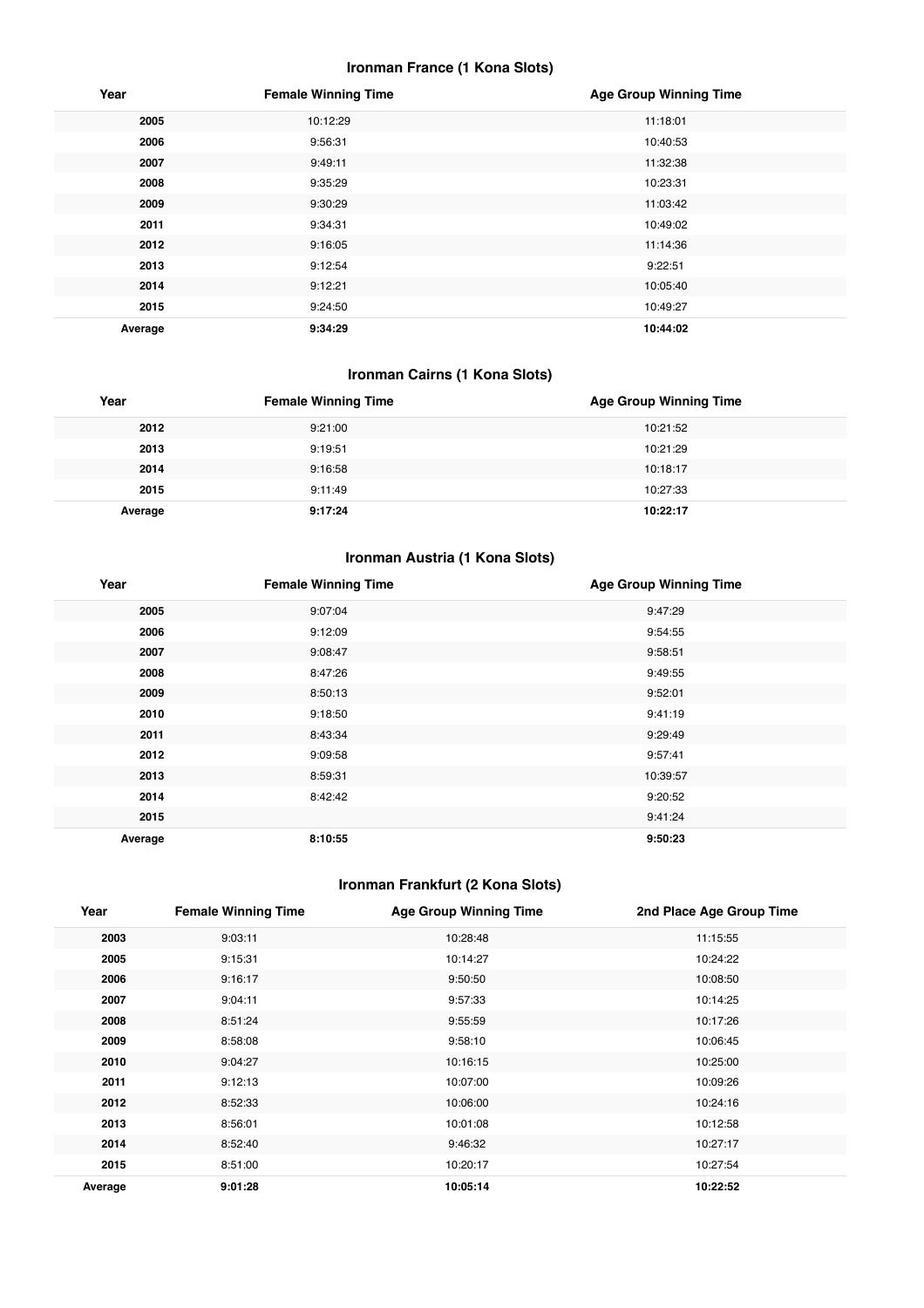#### **Ironman France (1 Kona Slots)**

| Year    | <b>Female Winning Time</b> | <b>Age Group Winning Time</b> |
|---------|----------------------------|-------------------------------|
| 2005    | 10:12:29                   | 11:18:01                      |
| 2006    | 9:56:31                    | 10:40:53                      |
| 2007    | 9:49:11                    | 11:32:38                      |
| 2008    | 9:35:29                    | 10:23:31                      |
| 2009    | 9:30:29                    | 11:03:42                      |
| 2011    | 9:34:31                    | 10:49:02                      |
| 2012    | 9:16:05                    | 11:14:36                      |
| 2013    | 9:12:54                    | 9:22:51                       |
| 2014    | 9:12:21                    | 10:05:40                      |
| 2015    | 9:24:50                    | 10:49:27                      |
| Average | 9:34:29                    | 10:44:02                      |

## **Ironman Cairns (1 Kona Slots)**

| Year    | <b>Female Winning Time</b> | <b>Age Group Winning Time</b> |
|---------|----------------------------|-------------------------------|
| 2012    | 9:21:00                    | 10:21:52                      |
| 2013    | 9:19:51                    | 10:21:29                      |
| 2014    | 9:16:58                    | 10:18:17                      |
| 2015    | 9:11:49                    | 10:27:33                      |
| Average | 9:17:24                    | 10:22:17                      |

#### **Ironman Austria (1 Kona Slots)**

| Year    | <b>Female Winning Time</b> | <b>Age Group Winning Time</b> |
|---------|----------------------------|-------------------------------|
| 2005    | 9:07:04                    | 9:47:29                       |
| 2006    | 9:12:09                    | 9:54:55                       |
| 2007    | 9:08:47                    | 9:58:51                       |
| 2008    | 8:47:26                    | 9:49:55                       |
| 2009    | 8:50:13                    | 9:52:01                       |
| 2010    | 9:18:50                    | 9:41:19                       |
| 2011    | 8:43:34                    | 9:29:49                       |
| 2012    | 9:09:58                    | 9:57:41                       |
| 2013    | 8:59:31                    | 10:39:57                      |
| 2014    | 8:42:42                    | 9:20:52                       |
| 2015    |                            | 9:41:24                       |
| Average | 8:10:55                    | 9:50:23                       |

## **Ironman Frankfurt (2 Kona Slots)**

| Year    | <b>Female Winning Time</b> | <b>Age Group Winning Time</b> | 2nd Place Age Group Time |
|---------|----------------------------|-------------------------------|--------------------------|
| 2003    | 9:03:11                    | 10:28:48                      | 11:15:55                 |
| 2005    | 9:15:31                    | 10:14:27                      | 10:24:22                 |
| 2006    | 9:16:17                    | 9:50:50                       | 10:08:50                 |
| 2007    | 9:04:11                    | 9:57:33                       | 10:14:25                 |
| 2008    | 8:51:24                    | 9:55:59                       | 10:17:26                 |
| 2009    | 8:58:08                    | 9:58:10                       | 10:06:45                 |
| 2010    | 9:04:27                    | 10:16:15                      | 10:25:00                 |
| 2011    | 9:12:13                    | 10:07:00                      | 10:09:26                 |
| 2012    | 8:52:33                    | 10:06:00                      | 10:24:16                 |
| 2013    | 8:56:01                    | 10:01:08                      | 10:12:58                 |
| 2014    | 8:52:40                    | 9:46:32                       | 10:27:17                 |
| 2015    | 8:51:00                    | 10:20:17                      | 10:27:54                 |
| Average | 9:01:28                    | 10:05:14                      | 10:22:52                 |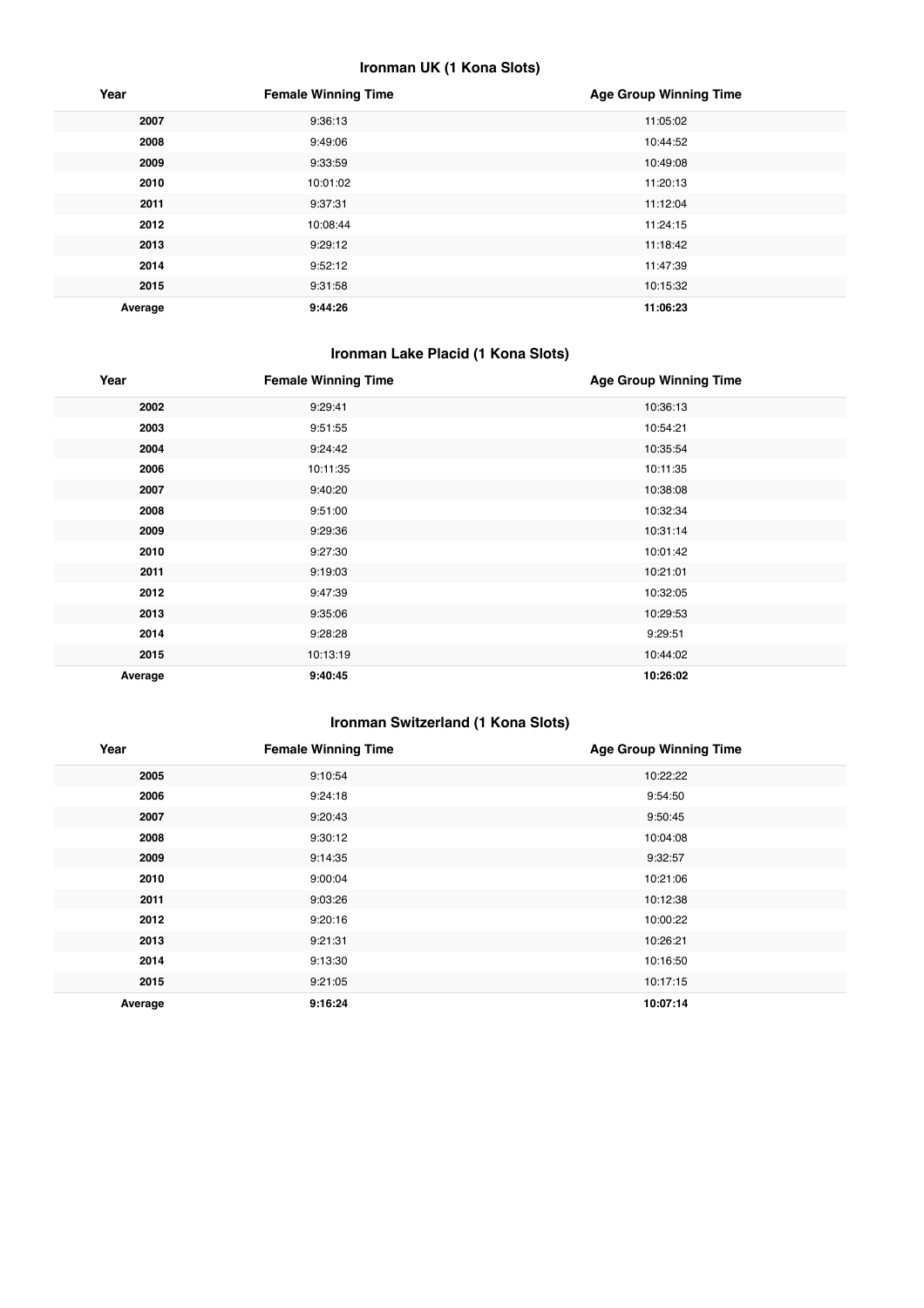#### **Ironman UK (1 Kona Slots)**

| Year    | <b>Female Winning Time</b> | <b>Age Group Winning Time</b> |
|---------|----------------------------|-------------------------------|
| 2007    | 9:36:13                    | 11:05:02                      |
| 2008    | 9:49:06                    | 10:44:52                      |
| 2009    | 9:33:59                    | 10:49:08                      |
| 2010    | 10:01:02                   | 11:20:13                      |
| 2011    | 9:37:31                    | 11:12:04                      |
| 2012    | 10:08:44                   | 11:24:15                      |
| 2013    | 9:29:12                    | 11:18:42                      |
| 2014    | 9:52:12                    | 11:47:39                      |
| 2015    | 9:31:58                    | 10:15:32                      |
| Average | 9:44:26                    | 11:06:23                      |

#### **Ironman Lake Placid (1 Kona Slots)**

| Year    | <b>Female Winning Time</b> | <b>Age Group Winning Time</b> |
|---------|----------------------------|-------------------------------|
| 2002    | 9:29:41                    | 10:36:13                      |
| 2003    | 9:51:55                    | 10:54:21                      |
| 2004    | 9:24:42                    | 10:35:54                      |
| 2006    | 10:11:35                   | 10:11:35                      |
| 2007    | 9:40:20                    | 10:38:08                      |
| 2008    | 9:51:00                    | 10:32:34                      |
| 2009    | 9:29:36                    | 10:31:14                      |
| 2010    | 9:27:30                    | 10:01:42                      |
| 2011    | 9:19:03                    | 10:21:01                      |
| 2012    | 9:47:39                    | 10:32:05                      |
| 2013    | 9:35:06                    | 10:29:53                      |
| 2014    | 9:28:28                    | 9:29:51                       |
| 2015    | 10:13:19                   | 10:44:02                      |
| Average | 9:40:45                    | 10:26:02                      |

#### **Ironman Switzerland (1 Kona Slots)**

| Year    | <b>Female Winning Time</b> | <b>Age Group Winning Time</b> |
|---------|----------------------------|-------------------------------|
| 2005    | 9:10:54                    | 10:22:22                      |
| 2006    | 9:24:18                    | 9:54:50                       |
| 2007    | 9:20:43                    | 9:50:45                       |
| 2008    | 9:30:12                    | 10:04:08                      |
| 2009    | 9:14:35                    | 9:32:57                       |
| 2010    | 9:00:04                    | 10:21:06                      |
| 2011    | 9:03:26                    | 10:12:38                      |
| 2012    | 9:20:16                    | 10:00:22                      |
| 2013    | 9:21:31                    | 10:26:21                      |
| 2014    | 9:13:30                    | 10:16:50                      |
| 2015    | 9:21:05                    | 10:17:15                      |
| Average | 9:16:24                    | 10:07:14                      |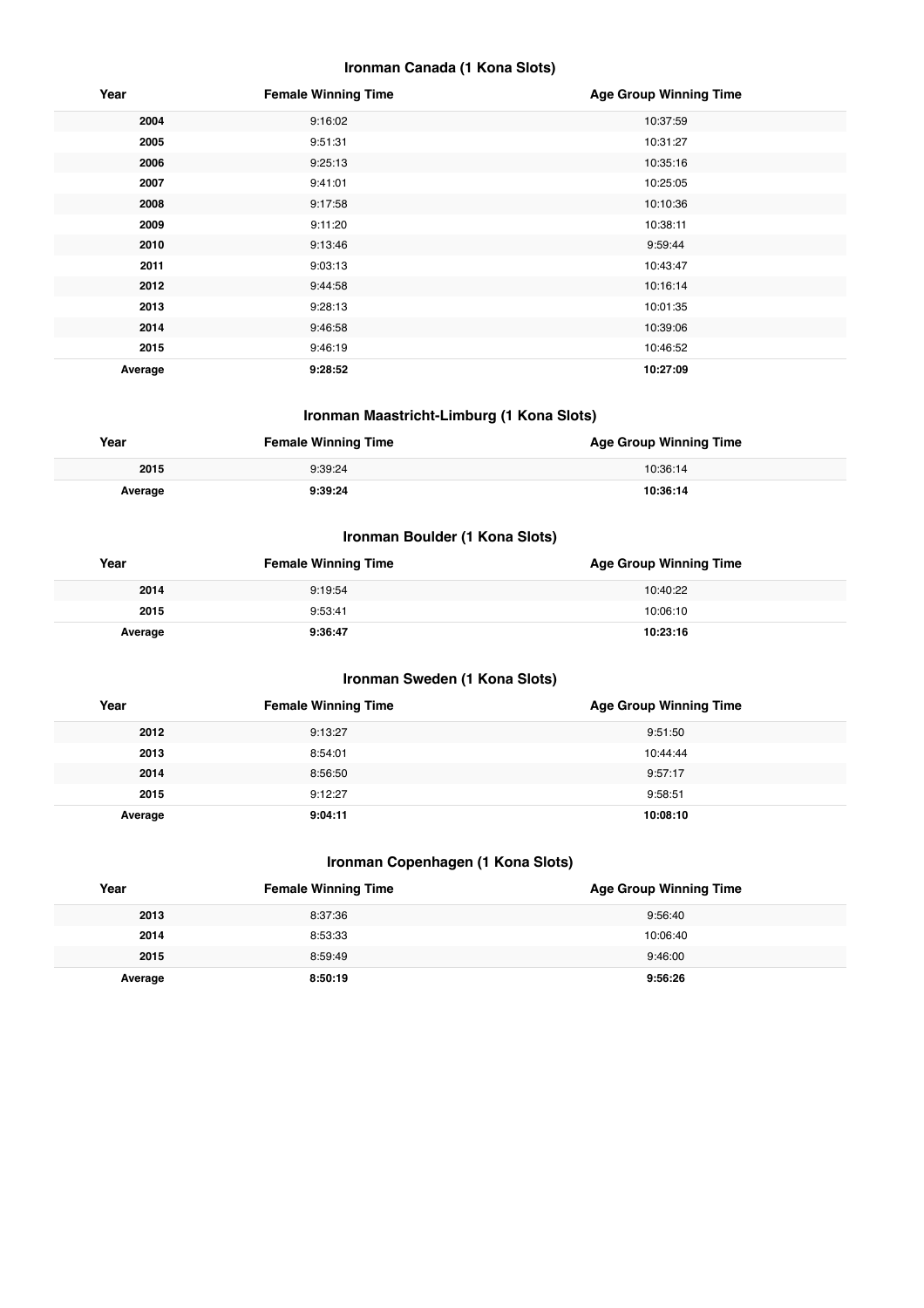#### **Ironman Canada (1 Kona Slots)**

| Year    | <b>Female Winning Time</b> | <b>Age Group Winning Time</b> |
|---------|----------------------------|-------------------------------|
| 2004    | 9:16:02                    | 10:37:59                      |
| 2005    | 9:51:31                    | 10:31:27                      |
| 2006    | 9:25:13                    | 10:35:16                      |
| 2007    | 9:41:01                    | 10:25:05                      |
| 2008    | 9:17:58                    | 10:10:36                      |
| 2009    | 9:11:20                    | 10:38:11                      |
| 2010    | 9:13:46                    | 9:59:44                       |
| 2011    | 9:03:13                    | 10:43:47                      |
| 2012    | 9:44:58                    | 10:16:14                      |
| 2013    | 9:28:13                    | 10:01:35                      |
| 2014    | 9:46:58                    | 10:39:06                      |
| 2015    | 9:46:19                    | 10:46:52                      |
| Average | 9:28:52                    | 10:27:09                      |

#### **Ironman Maastricht-Limburg (1 Kona Slots)**

| Year    | <b>Female Winning Time</b> | <b>Age Group Winning Time</b> |
|---------|----------------------------|-------------------------------|
| 2015    | 9:39:24                    | 10:36:14                      |
| Average | 9:39:24                    | 10:36:14                      |

#### **Ironman Boulder (1 Kona Slots)**

| Year    | <b>Female Winning Time</b> | <b>Age Group Winning Time</b> |
|---------|----------------------------|-------------------------------|
| 2014    | 9:19:54                    | 10:40:22                      |
| 2015    | 9:53:41                    | 10:06:10                      |
| Average | 9:36:47                    | 10:23:16                      |

#### **Ironman Sweden (1 Kona Slots)**

| Year    | <b>Female Winning Time</b> | <b>Age Group Winning Time</b> |
|---------|----------------------------|-------------------------------|
| 2012    | 9:13:27                    | 9:51:50                       |
| 2013    | 8:54:01                    | 10:44:44                      |
| 2014    | 8:56:50                    | 9:57:17                       |
| 2015    | 9:12:27                    | 9:58:51                       |
| Average | 9:04:11                    | 10:08:10                      |

#### **Ironman Copenhagen (1 Kona Slots)**

| Year    | <b>Female Winning Time</b> | <b>Age Group Winning Time</b> |
|---------|----------------------------|-------------------------------|
| 2013    | 8:37:36                    | 9:56:40                       |
| 2014    | 8:53:33                    | 10:06:40                      |
| 2015    | 8:59:49                    | 9:46:00                       |
| Average | 8:50:19                    | 9:56:26                       |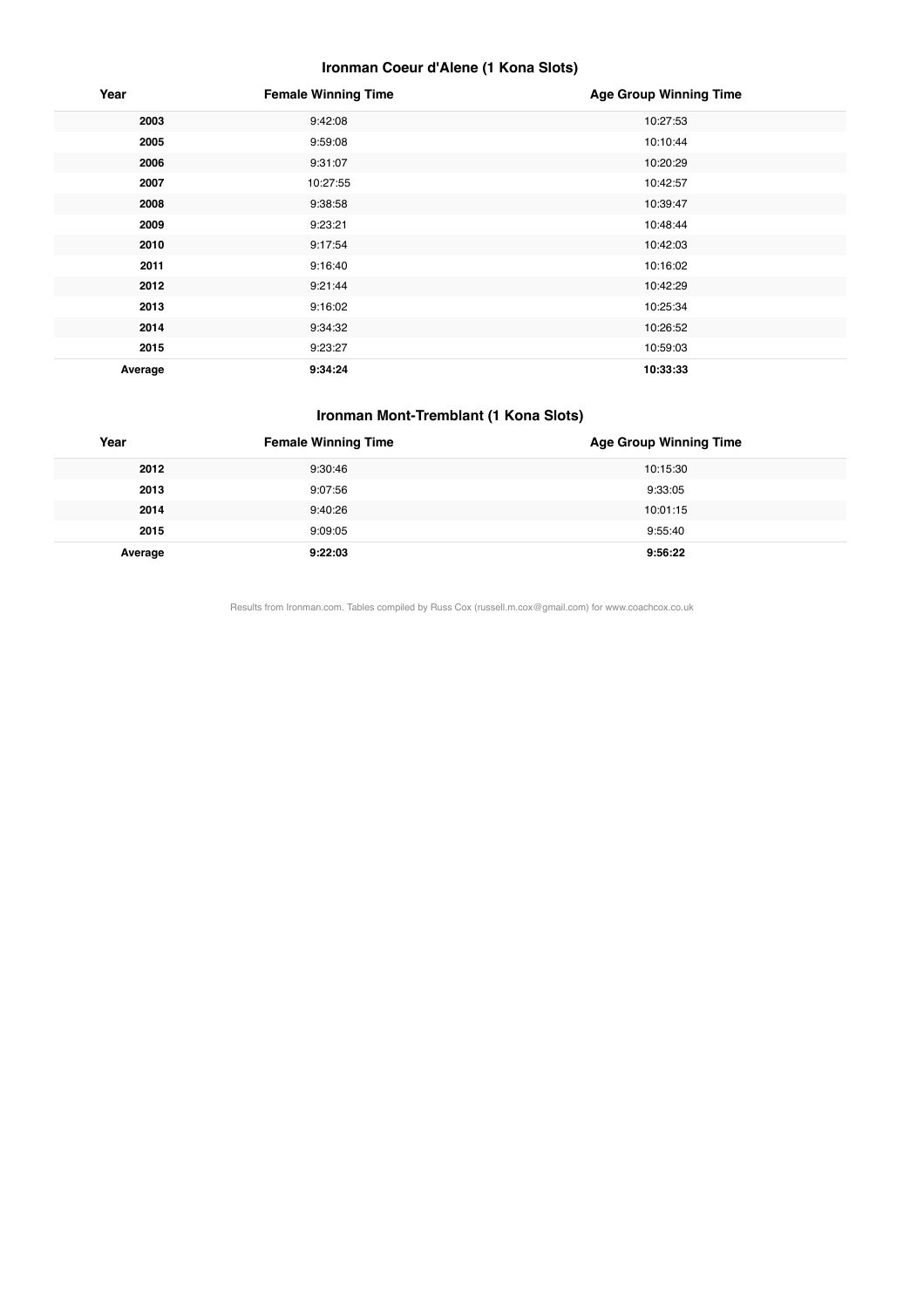#### **Ironman Coeur d'Alene (1 Kona Slots)**

| Year    | <b>Female Winning Time</b> | <b>Age Group Winning Time</b> |
|---------|----------------------------|-------------------------------|
| 2003    | 9:42:08                    | 10:27:53                      |
| 2005    | 9:59:08                    | 10:10:44                      |
| 2006    | 9:31:07                    | 10:20:29                      |
| 2007    | 10:27:55                   | 10:42:57                      |
| 2008    | 9:38:58                    | 10:39:47                      |
| 2009    | 9:23:21                    | 10:48:44                      |
| 2010    | 9:17:54                    | 10:42:03                      |
| 2011    | 9:16:40                    | 10:16:02                      |
| 2012    | 9:21:44                    | 10:42:29                      |
| 2013    | 9:16:02                    | 10:25:34                      |
| 2014    | 9:34:32                    | 10:26:52                      |
| 2015    | 9:23:27                    | 10:59:03                      |
| Average | 9:34:24                    | 10:33:33                      |

#### **Ironman Mont-Tremblant (1 Kona Slots)**

| Year    | <b>Female Winning Time</b> | <b>Age Group Winning Time</b> |
|---------|----------------------------|-------------------------------|
| 2012    | 9:30:46                    | 10:15:30                      |
| 2013    | 9:07:56                    | 9:33:05                       |
| 2014    | 9:40:26                    | 10:01:15                      |
| 2015    | 9:09:05                    | 9:55:40                       |
| Average | 9:22:03                    | 9:56:22                       |

Results from Ironman.com. Tables compiled by Russ Cox (russell.m.cox@gmail.com) for www.coachcox.co.uk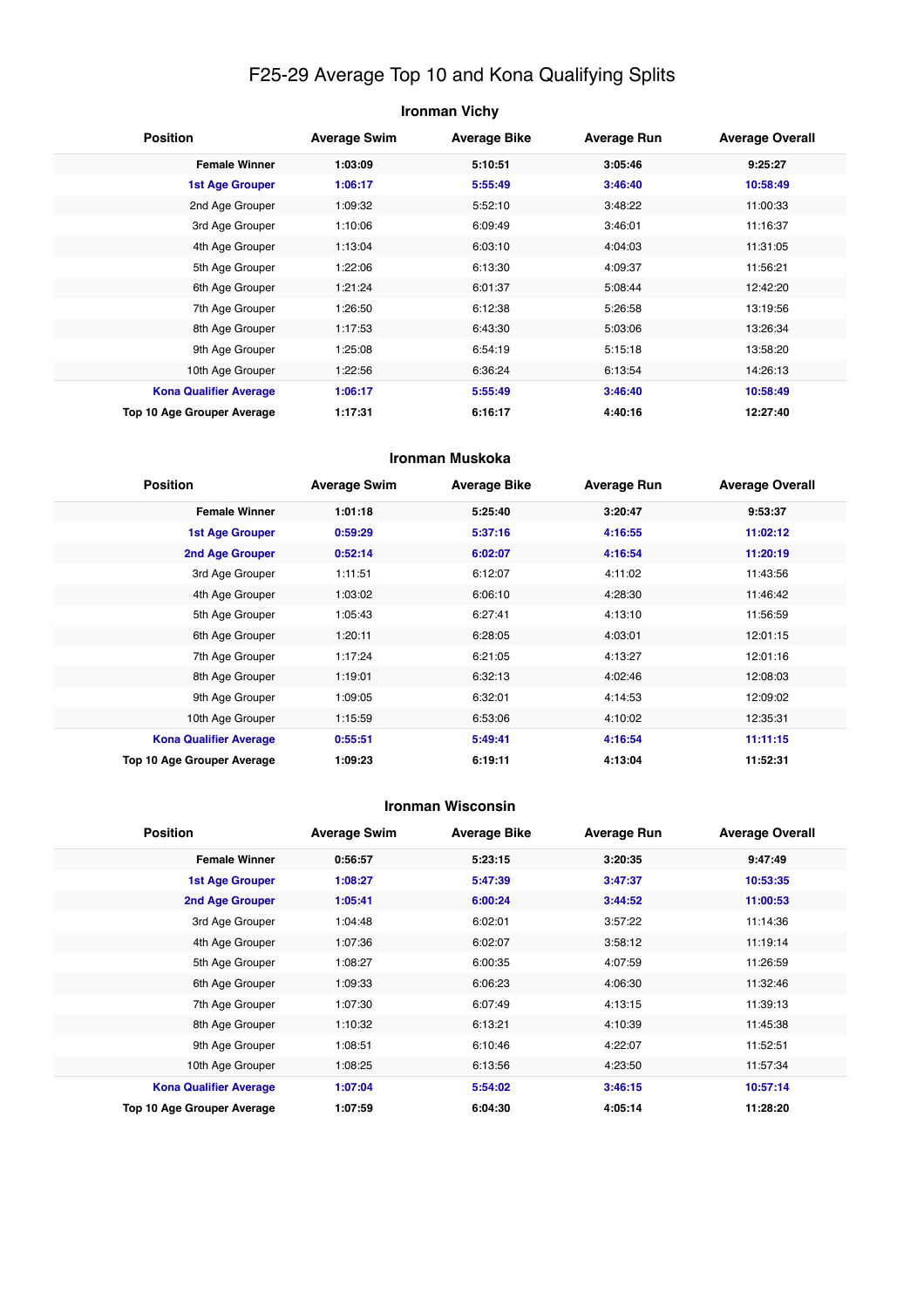## F25-29 Average Top 10 and Kona Qualifying Splits

| <b>Ironman Vichy</b>          |                                                                                            |         |         |          |  |  |  |
|-------------------------------|--------------------------------------------------------------------------------------------|---------|---------|----------|--|--|--|
| <b>Position</b>               | <b>Average Swim</b><br><b>Average Bike</b><br><b>Average Run</b><br><b>Average Overall</b> |         |         |          |  |  |  |
| <b>Female Winner</b>          | 1:03:09                                                                                    | 5:10:51 | 3:05:46 | 9:25:27  |  |  |  |
| <b>1st Age Grouper</b>        | 1:06:17                                                                                    | 5:55:49 | 3:46:40 | 10:58:49 |  |  |  |
| 2nd Age Grouper               | 1:09:32                                                                                    | 5:52:10 | 3:48:22 | 11:00:33 |  |  |  |
| 3rd Age Grouper               | 1:10:06                                                                                    | 6:09:49 | 3:46:01 | 11:16:37 |  |  |  |
| 4th Age Grouper               | 1:13:04                                                                                    | 6:03:10 | 4:04:03 | 11:31:05 |  |  |  |
| 5th Age Grouper               | 1:22:06                                                                                    | 6:13:30 | 4:09:37 | 11:56:21 |  |  |  |
| 6th Age Grouper               | 1:21:24                                                                                    | 6:01:37 | 5:08:44 | 12:42:20 |  |  |  |
| 7th Age Grouper               | 1:26:50                                                                                    | 6:12:38 | 5:26:58 | 13:19:56 |  |  |  |
| 8th Age Grouper               | 1:17:53                                                                                    | 6:43:30 | 5:03:06 | 13:26:34 |  |  |  |
| 9th Age Grouper               | 1:25:08                                                                                    | 6:54:19 | 5:15:18 | 13:58:20 |  |  |  |
| 10th Age Grouper              | 1:22:56                                                                                    | 6:36:24 | 6:13:54 | 14:26:13 |  |  |  |
| <b>Kona Qualifier Average</b> | 1:06:17                                                                                    | 5:55:49 | 3:46:40 | 10:58:49 |  |  |  |
| Top 10 Age Grouper Average    | 1:17:31                                                                                    | 6:16:17 | 4:40:16 | 12:27:40 |  |  |  |

#### **Ironman Muskoka**

| <b>Position</b>               | <b>Average Swim</b> | <b>Average Bike</b> | <b>Average Run</b> | <b>Average Overall</b> |
|-------------------------------|---------------------|---------------------|--------------------|------------------------|
| <b>Female Winner</b>          | 1:01:18             | 5:25:40             | 3:20:47            | 9:53:37                |
| <b>1st Age Grouper</b>        | 0:59:29             | 5:37:16             | 4:16:55            | 11:02:12               |
| 2nd Age Grouper               | 0:52:14             | 6:02:07             | 4:16:54            | 11:20:19               |
| 3rd Age Grouper               | 1:11:51             | 6:12:07             | 4:11:02            | 11:43:56               |
| 4th Age Grouper               | 1:03:02             | 6:06:10             | 4:28:30            | 11:46:42               |
| 5th Age Grouper               | 1:05:43             | 6:27:41             | 4:13:10            | 11:56:59               |
| 6th Age Grouper               | 1:20:11             | 6:28:05             | 4:03:01            | 12:01:15               |
| 7th Age Grouper               | 1:17:24             | 6:21:05             | 4:13:27            | 12:01:16               |
| 8th Age Grouper               | 1:19:01             | 6:32:13             | 4:02:46            | 12:08:03               |
| 9th Age Grouper               | 1:09:05             | 6:32:01             | 4:14:53            | 12:09:02               |
| 10th Age Grouper              | 1:15:59             | 6:53:06             | 4:10:02            | 12:35:31               |
| <b>Kona Qualifier Average</b> | 0:55:51             | 5:49:41             | 4:16:54            | 11:11:15               |
| Top 10 Age Grouper Average    | 1:09:23             | 6:19:11             | 4:13:04            | 11:52:31               |

#### **Ironman Wisconsin**

| <b>Position</b>               | <b>Average Swim</b> | <b>Average Bike</b> | <b>Average Run</b> | <b>Average Overall</b> |
|-------------------------------|---------------------|---------------------|--------------------|------------------------|
| <b>Female Winner</b>          | 0:56:57             | 5:23:15             | 3:20:35            | 9:47:49                |
| <b>1st Age Grouper</b>        | 1:08:27             | 5:47:39             | 3:47:37            | 10:53:35               |
| 2nd Age Grouper               | 1:05:41             | 6:00:24             | 3:44:52            | 11:00:53               |
| 3rd Age Grouper               | 1:04:48             | 6:02:01             | 3:57:22            | 11:14:36               |
| 4th Age Grouper               | 1:07:36             | 6:02:07             | 3:58:12            | 11:19:14               |
| 5th Age Grouper               | 1:08:27             | 6:00:35             | 4:07:59            | 11:26:59               |
| 6th Age Grouper               | 1:09:33             | 6:06:23             | 4:06:30            | 11:32:46               |
| 7th Age Grouper               | 1:07:30             | 6:07:49             | 4:13:15            | 11:39:13               |
| 8th Age Grouper               | 1:10:32             | 6:13:21             | 4:10:39            | 11:45:38               |
| 9th Age Grouper               | 1:08:51             | 6:10:46             | 4:22:07            | 11:52:51               |
| 10th Age Grouper              | 1:08:25             | 6:13:56             | 4:23:50            | 11:57:34               |
| <b>Kona Qualifier Average</b> | 1:07:04             | 5:54:02             | 3:46:15            | 10:57:14               |
| Top 10 Age Grouper Average    | 1:07:59             | 6:04:30             | 4:05:14            | 11:28:20               |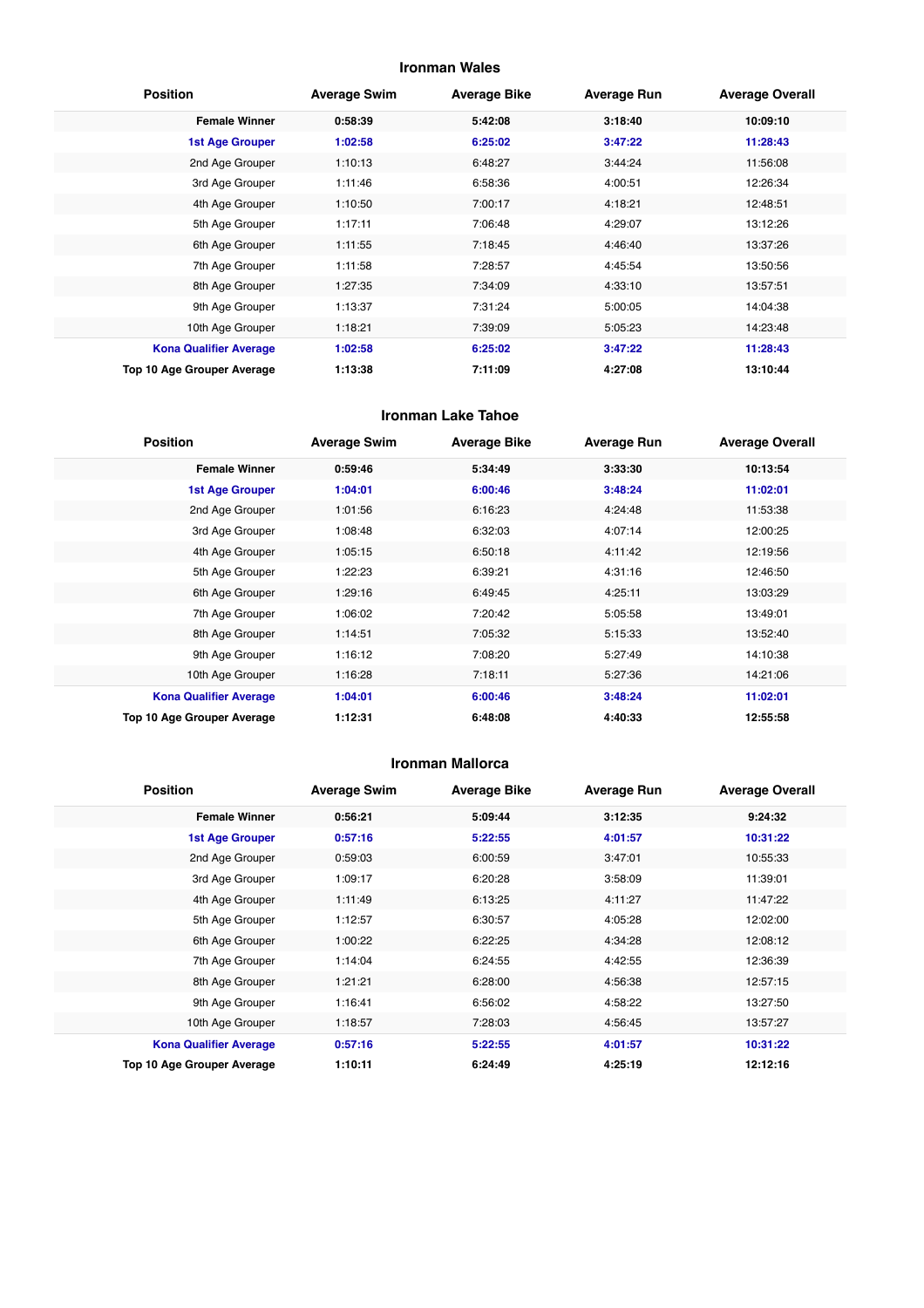#### **Ironman Wales**

| <b>Position</b>               | <b>Average Swim</b> | <b>Average Bike</b> | <b>Average Run</b> | <b>Average Overall</b> |
|-------------------------------|---------------------|---------------------|--------------------|------------------------|
| <b>Female Winner</b>          | 0:58:39             | 5:42:08             | 3:18:40            | 10:09:10               |
| <b>1st Age Grouper</b>        | 1:02:58             | 6:25:02             | 3:47:22            | 11:28:43               |
| 2nd Age Grouper               | 1:10:13             | 6:48:27             | 3:44:24            | 11:56:08               |
| 3rd Age Grouper               | 1:11:46             | 6:58:36             | 4:00:51            | 12:26:34               |
| 4th Age Grouper               | 1:10:50             | 7:00:17             | 4:18:21            | 12:48:51               |
| 5th Age Grouper               | 1:17:11             | 7:06:48             | 4:29:07            | 13:12:26               |
| 6th Age Grouper               | 1:11:55             | 7:18:45             | 4:46:40            | 13:37:26               |
| 7th Age Grouper               | 1:11:58             | 7:28:57             | 4:45:54            | 13:50:56               |
| 8th Age Grouper               | 1:27:35             | 7:34:09             | 4:33:10            | 13:57:51               |
| 9th Age Grouper               | 1:13:37             | 7:31:24             | 5:00:05            | 14:04:38               |
| 10th Age Grouper              | 1:18:21             | 7:39:09             | 5:05:23            | 14:23:48               |
| <b>Kona Qualifier Average</b> | 1:02:58             | 6:25:02             | 3:47:22            | 11:28:43               |
| Top 10 Age Grouper Average    | 1:13:38             | 7:11:09             | 4:27:08            | 13:10:44               |

#### **Ironman Lake Tahoe**

| <b>Position</b>               | <b>Average Swim</b> | <b>Average Bike</b> | <b>Average Run</b> | <b>Average Overall</b> |
|-------------------------------|---------------------|---------------------|--------------------|------------------------|
| <b>Female Winner</b>          | 0:59:46             | 5:34:49             | 3:33:30            | 10:13:54               |
| <b>1st Age Grouper</b>        | 1:04:01             | 6:00:46             | 3:48:24            | 11:02:01               |
| 2nd Age Grouper               | 1:01:56             | 6:16:23             | 4:24:48            | 11:53:38               |
| 3rd Age Grouper               | 1:08:48             | 6:32:03             | 4:07:14            | 12:00:25               |
| 4th Age Grouper               | 1:05:15             | 6:50:18             | 4:11:42            | 12:19:56               |
| 5th Age Grouper               | 1:22:23             | 6:39:21             | 4:31:16            | 12:46:50               |
| 6th Age Grouper               | 1:29:16             | 6:49:45             | 4:25:11            | 13:03:29               |
| 7th Age Grouper               | 1:06:02             | 7:20:42             | 5:05:58            | 13:49:01               |
| 8th Age Grouper               | 1:14:51             | 7:05:32             | 5:15:33            | 13:52:40               |
| 9th Age Grouper               | 1:16:12             | 7:08:20             | 5:27:49            | 14:10:38               |
| 10th Age Grouper              | 1:16:28             | 7:18:11             | 5:27:36            | 14:21:06               |
| <b>Kona Qualifier Average</b> | 1:04:01             | 6:00:46             | 3:48:24            | 11:02:01               |
| Top 10 Age Grouper Average    | 1:12:31             | 6:48:08             | 4:40:33            | 12:55:58               |

#### **Ironman Mallorca**

| <b>Position</b>               | <b>Average Swim</b> | <b>Average Bike</b> | <b>Average Run</b> | <b>Average Overall</b> |
|-------------------------------|---------------------|---------------------|--------------------|------------------------|
| <b>Female Winner</b>          | 0:56:21             | 5:09:44             | 3:12:35            | 9:24:32                |
| <b>1st Age Grouper</b>        | 0:57:16             | 5:22:55             | 4:01:57            | 10:31:22               |
| 2nd Age Grouper               | 0:59:03             | 6:00:59             | 3:47:01            | 10:55:33               |
| 3rd Age Grouper               | 1:09:17             | 6:20:28             | 3:58:09            | 11:39:01               |
| 4th Age Grouper               | 1:11:49             | 6:13:25             | 4:11:27            | 11:47:22               |
| 5th Age Grouper               | 1:12:57             | 6:30:57             | 4:05:28            | 12:02:00               |
| 6th Age Grouper               | 1:00:22             | 6:22:25             | 4:34:28            | 12:08:12               |
| 7th Age Grouper               | 1:14:04             | 6:24:55             | 4:42:55            | 12:36:39               |
| 8th Age Grouper               | 1:21:21             | 6:28:00             | 4:56:38            | 12:57:15               |
| 9th Age Grouper               | 1:16:41             | 6:56:02             | 4:58:22            | 13:27:50               |
| 10th Age Grouper              | 1:18:57             | 7:28:03             | 4:56:45            | 13:57:27               |
| <b>Kona Qualifier Average</b> | 0:57:16             | 5:22:55             | 4:01:57            | 10:31:22               |
| Top 10 Age Grouper Average    | 1:10:11             | 6:24:49             | 4:25:19            | 12:12:16               |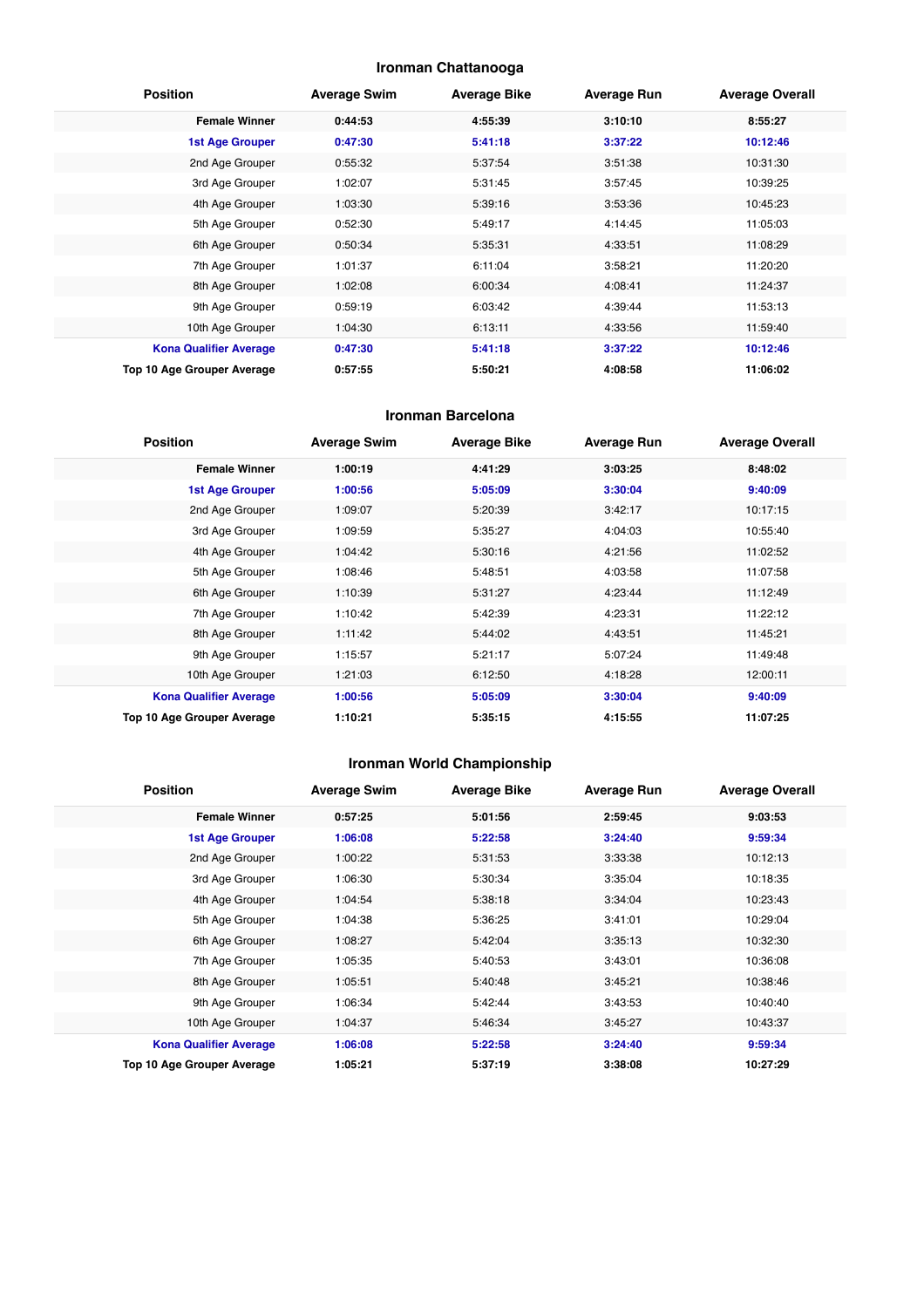#### **Ironman Chattanooga**

| <b>Position</b>               | <b>Average Swim</b> | <b>Average Bike</b> | <b>Average Run</b> | <b>Average Overall</b> |
|-------------------------------|---------------------|---------------------|--------------------|------------------------|
| <b>Female Winner</b>          | 0:44:53             | 4:55:39             | 3:10:10            | 8:55:27                |
| <b>1st Age Grouper</b>        | 0:47:30             | 5:41:18             | 3:37:22            | 10:12:46               |
| 2nd Age Grouper               | 0:55:32             | 5:37:54             | 3:51:38            | 10:31:30               |
| 3rd Age Grouper               | 1:02:07             | 5:31:45             | 3:57:45            | 10:39:25               |
| 4th Age Grouper               | 1:03:30             | 5:39:16             | 3:53:36            | 10:45:23               |
| 5th Age Grouper               | 0:52:30             | 5:49:17             | 4:14:45            | 11:05:03               |
| 6th Age Grouper               | 0:50:34             | 5:35:31             | 4:33:51            | 11:08:29               |
| 7th Age Grouper               | 1:01:37             | 6:11:04             | 3:58:21            | 11:20:20               |
| 8th Age Grouper               | 1:02:08             | 6:00:34             | 4:08:41            | 11:24:37               |
| 9th Age Grouper               | 0:59:19             | 6:03:42             | 4:39:44            | 11:53:13               |
| 10th Age Grouper              | 1:04:30             | 6:13:11             | 4:33:56            | 11:59:40               |
| <b>Kona Qualifier Average</b> | 0:47:30             | 5:41:18             | 3:37:22            | 10:12:46               |
| Top 10 Age Grouper Average    | 0:57:55             | 5:50:21             | 4:08:58            | 11:06:02               |

#### **Ironman Barcelona**

| <b>Position</b>               | <b>Average Swim</b> | <b>Average Bike</b> | <b>Average Run</b> | <b>Average Overall</b> |
|-------------------------------|---------------------|---------------------|--------------------|------------------------|
| <b>Female Winner</b>          | 1:00:19             | 4:41:29             | 3:03:25            | 8:48:02                |
| <b>1st Age Grouper</b>        | 1:00:56             | 5:05:09             | 3:30:04            | 9:40:09                |
| 2nd Age Grouper               | 1:09:07             | 5:20:39             | 3:42:17            | 10:17:15               |
| 3rd Age Grouper               | 1:09:59             | 5:35:27             | 4:04:03            | 10:55:40               |
| 4th Age Grouper               | 1:04:42             | 5:30:16             | 4:21:56            | 11:02:52               |
| 5th Age Grouper               | 1:08:46             | 5:48:51             | 4:03:58            | 11:07:58               |
| 6th Age Grouper               | 1:10:39             | 5:31:27             | 4:23:44            | 11:12:49               |
| 7th Age Grouper               | 1:10:42             | 5:42:39             | 4:23:31            | 11:22:12               |
| 8th Age Grouper               | 1:11:42             | 5:44:02             | 4:43:51            | 11:45:21               |
| 9th Age Grouper               | 1:15:57             | 5:21:17             | 5:07:24            | 11:49:48               |
| 10th Age Grouper              | 1:21:03             | 6:12:50             | 4:18:28            | 12:00:11               |
| <b>Kona Qualifier Average</b> | 1:00:56             | 5:05:09             | 3:30:04            | 9:40:09                |
| Top 10 Age Grouper Average    | 1:10:21             | 5:35:15             | 4:15:55            | 11:07:25               |

## **Ironman World Championship**

| <b>Position</b>               | <b>Average Swim</b> | <b>Average Bike</b> | <b>Average Run</b> | <b>Average Overall</b> |
|-------------------------------|---------------------|---------------------|--------------------|------------------------|
| <b>Female Winner</b>          | 0:57:25             | 5:01:56             | 2:59:45            | 9:03:53                |
| <b>1st Age Grouper</b>        | 1:06:08             | 5:22:58             | 3:24:40            | 9:59:34                |
| 2nd Age Grouper               | 1:00:22             | 5:31:53             | 3:33:38            | 10:12:13               |
| 3rd Age Grouper               | 1:06:30             | 5:30:34             | 3:35:04            | 10:18:35               |
| 4th Age Grouper               | 1:04:54             | 5:38:18             | 3:34:04            | 10:23:43               |
| 5th Age Grouper               | 1:04:38             | 5:36:25             | 3:41:01            | 10:29:04               |
| 6th Age Grouper               | 1:08:27             | 5:42:04             | 3:35:13            | 10:32:30               |
| 7th Age Grouper               | 1:05:35             | 5:40:53             | 3:43:01            | 10:36:08               |
| 8th Age Grouper               | 1:05:51             | 5:40:48             | 3:45:21            | 10:38:46               |
| 9th Age Grouper               | 1:06:34             | 5:42:44             | 3:43:53            | 10:40:40               |
| 10th Age Grouper              | 1:04:37             | 5:46:34             | 3:45:27            | 10:43:37               |
| <b>Kona Qualifier Average</b> | 1:06:08             | 5:22:58             | 3:24:40            | 9:59:34                |
| Top 10 Age Grouper Average    | 1:05:21             | 5:37:19             | 3:38:08            | 10:27:29               |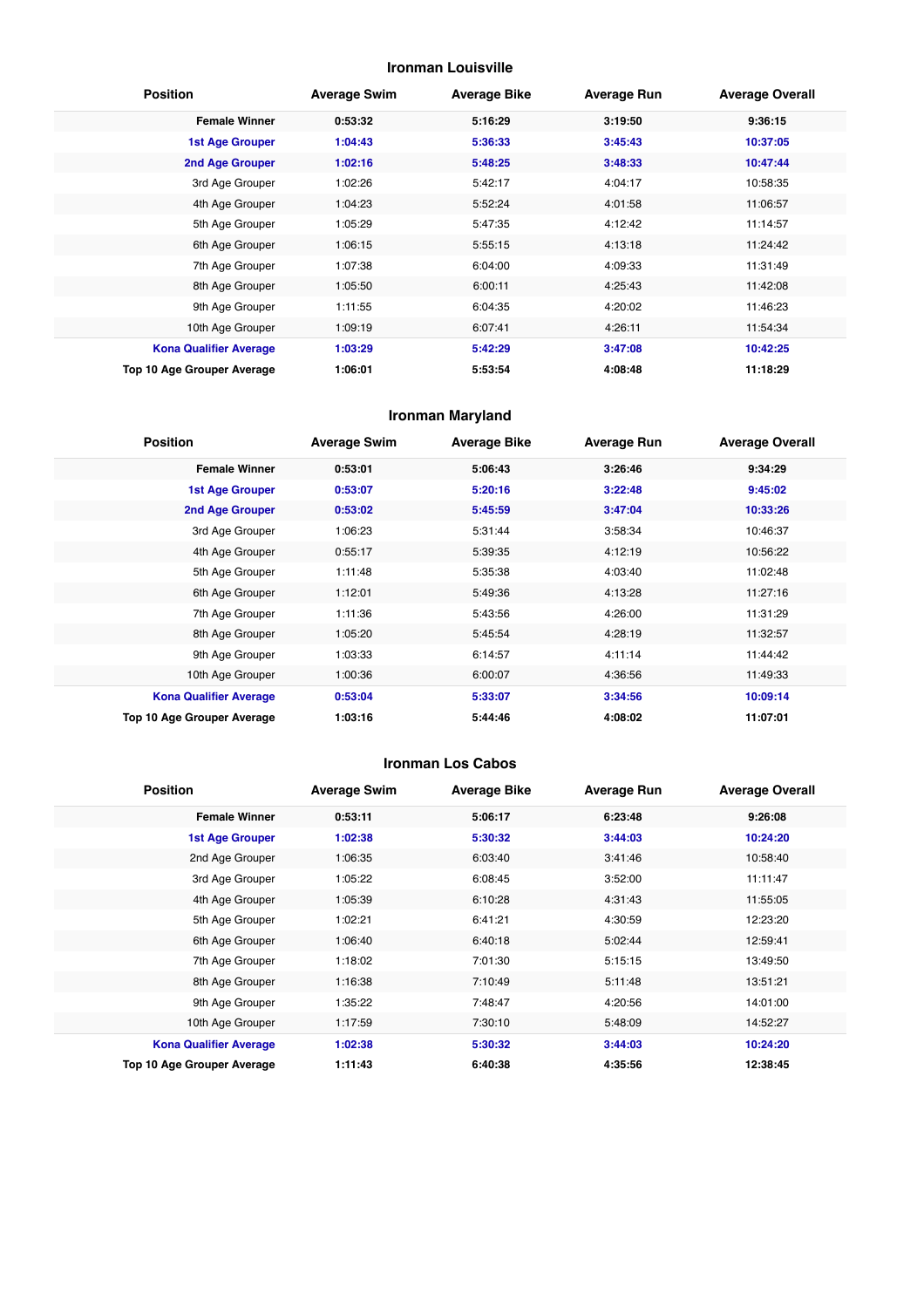#### **Ironman Louisville**

| <b>Position</b>               | <b>Average Swim</b> | <b>Average Bike</b> | <b>Average Run</b> | <b>Average Overall</b> |
|-------------------------------|---------------------|---------------------|--------------------|------------------------|
| <b>Female Winner</b>          | 0:53:32             | 5:16:29             | 3:19:50            | 9:36:15                |
| <b>1st Age Grouper</b>        | 1:04:43             | 5:36:33             | 3:45:43            | 10:37:05               |
| 2nd Age Grouper               | 1:02:16             | 5:48:25             | 3:48:33            | 10:47:44               |
| 3rd Age Grouper               | 1:02:26             | 5:42:17             | 4:04:17            | 10:58:35               |
| 4th Age Grouper               | 1:04:23             | 5:52:24             | 4:01:58            | 11:06:57               |
| 5th Age Grouper               | 1:05:29             | 5:47:35             | 4:12:42            | 11:14:57               |
| 6th Age Grouper               | 1:06:15             | 5:55:15             | 4:13:18            | 11:24:42               |
| 7th Age Grouper               | 1:07:38             | 6:04:00             | 4:09:33            | 11:31:49               |
| 8th Age Grouper               | 1:05:50             | 6:00:11             | 4:25:43            | 11:42:08               |
| 9th Age Grouper               | 1:11:55             | 6:04:35             | 4:20:02            | 11:46:23               |
| 10th Age Grouper              | 1:09:19             | 6:07:41             | 4:26:11            | 11:54:34               |
| <b>Kona Qualifier Average</b> | 1:03:29             | 5:42:29             | 3:47:08            | 10:42:25               |
| Top 10 Age Grouper Average    | 1:06:01             | 5:53:54             | 4:08:48            | 11:18:29               |

#### **Ironman Maryland**

| <b>Position</b>               | <b>Average Swim</b> | <b>Average Bike</b> | <b>Average Run</b> | <b>Average Overall</b> |
|-------------------------------|---------------------|---------------------|--------------------|------------------------|
| <b>Female Winner</b>          | 0:53:01             | 5:06:43             | 3:26:46            | 9:34:29                |
| <b>1st Age Grouper</b>        | 0:53:07             | 5:20:16             | 3:22:48            | 9:45:02                |
| 2nd Age Grouper               | 0:53:02             | 5:45:59             | 3:47:04            | 10:33:26               |
| 3rd Age Grouper               | 1:06:23             | 5:31:44             | 3:58:34            | 10:46:37               |
| 4th Age Grouper               | 0:55:17             | 5:39:35             | 4:12:19            | 10:56:22               |
| 5th Age Grouper               | 1:11:48             | 5:35:38             | 4:03:40            | 11:02:48               |
| 6th Age Grouper               | 1:12:01             | 5:49:36             | 4:13:28            | 11:27:16               |
| 7th Age Grouper               | 1:11:36             | 5:43:56             | 4:26:00            | 11:31:29               |
| 8th Age Grouper               | 1:05:20             | 5:45:54             | 4:28:19            | 11:32:57               |
| 9th Age Grouper               | 1:03:33             | 6:14:57             | 4:11:14            | 11:44:42               |
| 10th Age Grouper              | 1:00:36             | 6:00:07             | 4:36:56            | 11:49:33               |
| <b>Kona Qualifier Average</b> | 0:53:04             | 5:33:07             | 3:34:56            | 10:09:14               |
| Top 10 Age Grouper Average    | 1:03:16             | 5:44:46             | 4:08:02            | 11:07:01               |

#### **Ironman Los Cabos**

| <b>Position</b>               | <b>Average Swim</b> | <b>Average Bike</b> | <b>Average Run</b> | <b>Average Overall</b> |
|-------------------------------|---------------------|---------------------|--------------------|------------------------|
| <b>Female Winner</b>          | 0:53:11             | 5:06:17             | 6:23:48            | 9:26:08                |
| <b>1st Age Grouper</b>        | 1:02:38             | 5:30:32             | 3:44:03            | 10:24:20               |
| 2nd Age Grouper               | 1:06:35             | 6:03:40             | 3:41:46            | 10:58:40               |
| 3rd Age Grouper               | 1:05:22             | 6:08:45             | 3:52:00            | 11:11:47               |
| 4th Age Grouper               | 1:05:39             | 6:10:28             | 4:31:43            | 11:55:05               |
| 5th Age Grouper               | 1:02:21             | 6:41:21             | 4:30:59            | 12:23:20               |
| 6th Age Grouper               | 1:06:40             | 6:40:18             | 5:02:44            | 12:59:41               |
| 7th Age Grouper               | 1:18:02             | 7:01:30             | 5:15:15            | 13:49:50               |
| 8th Age Grouper               | 1:16:38             | 7:10:49             | 5:11:48            | 13:51:21               |
| 9th Age Grouper               | 1:35:22             | 7:48:47             | 4:20:56            | 14:01:00               |
| 10th Age Grouper              | 1:17:59             | 7:30:10             | 5:48:09            | 14:52:27               |
| <b>Kona Qualifier Average</b> | 1:02:38             | 5:30:32             | 3:44:03            | 10:24:20               |
| Top 10 Age Grouper Average    | 1:11:43             | 6:40:38             | 4:35:56            | 12:38:45               |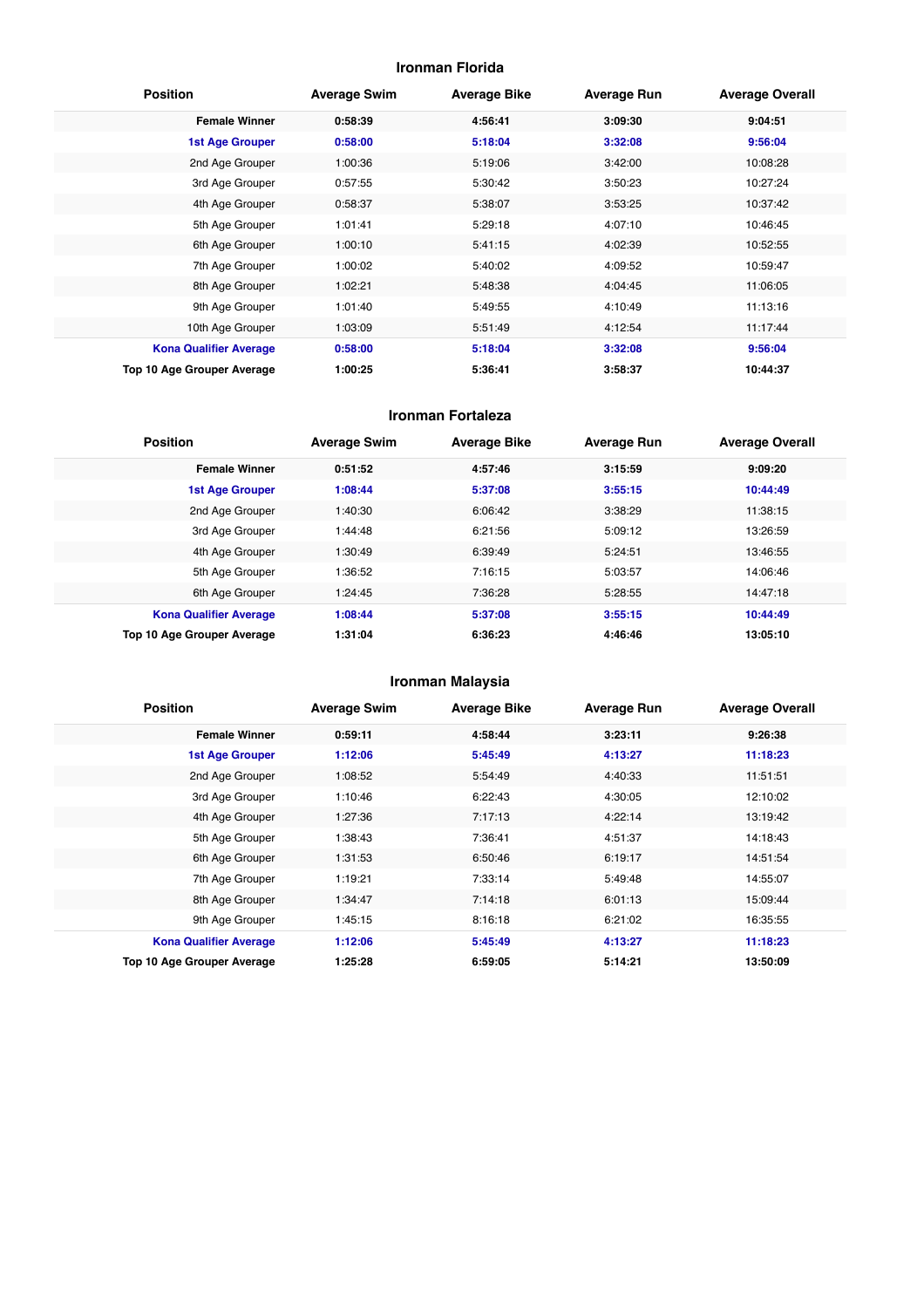#### **Ironman Florida**

| <b>Position</b>               | <b>Average Swim</b> | <b>Average Bike</b> | <b>Average Run</b> | <b>Average Overall</b> |
|-------------------------------|---------------------|---------------------|--------------------|------------------------|
| <b>Female Winner</b>          | 0:58:39             | 4:56:41             | 3:09:30            | 9:04:51                |
| <b>1st Age Grouper</b>        | 0:58:00             | 5:18:04             | 3:32:08            | 9:56:04                |
| 2nd Age Grouper               | 1:00:36             | 5:19:06             | 3:42:00            | 10:08:28               |
| 3rd Age Grouper               | 0:57:55             | 5:30:42             | 3:50:23            | 10:27:24               |
| 4th Age Grouper               | 0:58:37             | 5:38:07             | 3:53:25            | 10:37:42               |
| 5th Age Grouper               | 1:01:41             | 5:29:18             | 4:07:10            | 10:46:45               |
| 6th Age Grouper               | 1:00:10             | 5:41:15             | 4:02:39            | 10:52:55               |
| 7th Age Grouper               | 1:00:02             | 5:40:02             | 4:09:52            | 10:59:47               |
| 8th Age Grouper               | 1:02:21             | 5:48:38             | 4:04:45            | 11:06:05               |
| 9th Age Grouper               | 1:01:40             | 5:49:55             | 4:10:49            | 11:13:16               |
| 10th Age Grouper              | 1:03:09             | 5:51:49             | 4:12:54            | 11:17:44               |
| <b>Kona Qualifier Average</b> | 0:58:00             | 5:18:04             | 3:32:08            | 9:56:04                |
| Top 10 Age Grouper Average    | 1:00:25             | 5:36:41             | 3:58:37            | 10:44:37               |

#### **Ironman Fortaleza**

| <b>Position</b>               | <b>Average Swim</b> | <b>Average Bike</b> | <b>Average Run</b> | <b>Average Overall</b> |
|-------------------------------|---------------------|---------------------|--------------------|------------------------|
| <b>Female Winner</b>          | 0:51:52             | 4:57:46             | 3:15:59            | 9:09:20                |
| <b>1st Age Grouper</b>        | 1:08:44             | 5:37:08             | 3:55:15            | 10:44:49               |
| 2nd Age Grouper               | 1:40:30             | 6:06:42             | 3:38:29            | 11:38:15               |
| 3rd Age Grouper               | 1:44:48             | 6:21:56             | 5:09:12            | 13:26:59               |
| 4th Age Grouper               | 1:30:49             | 6:39:49             | 5:24:51            | 13:46:55               |
| 5th Age Grouper               | 1:36:52             | 7:16:15             | 5:03:57            | 14:06:46               |
| 6th Age Grouper               | 1:24:45             | 7:36:28             | 5:28:55            | 14:47:18               |
| <b>Kona Qualifier Average</b> | 1:08:44             | 5:37:08             | 3:55:15            | 10:44:49               |
| Top 10 Age Grouper Average    | 1:31:04             | 6:36:23             | 4:46:46            | 13:05:10               |

#### **Ironman Malaysia**

| <b>Position</b>               | <b>Average Swim</b> | <b>Average Bike</b> | <b>Average Run</b> | <b>Average Overall</b> |
|-------------------------------|---------------------|---------------------|--------------------|------------------------|
| <b>Female Winner</b>          | 0:59:11             | 4:58:44             | 3:23:11            | 9:26:38                |
| <b>1st Age Grouper</b>        | 1:12:06             | 5:45:49             | 4:13:27            | 11:18:23               |
| 2nd Age Grouper               | 1:08:52             | 5:54:49             | 4:40:33            | 11:51:51               |
| 3rd Age Grouper               | 1:10:46             | 6:22:43             | 4:30:05            | 12:10:02               |
| 4th Age Grouper               | 1:27:36             | 7:17:13             | 4:22:14            | 13:19:42               |
| 5th Age Grouper               | 1:38:43             | 7:36:41             | 4:51:37            | 14:18:43               |
| 6th Age Grouper               | 1:31:53             | 6:50:46             | 6:19:17            | 14:51:54               |
| 7th Age Grouper               | 1:19:21             | 7:33:14             | 5:49:48            | 14:55:07               |
| 8th Age Grouper               | 1:34:47             | 7:14:18             | 6:01:13            | 15:09:44               |
| 9th Age Grouper               | 1:45:15             | 8:16:18             | 6:21:02            | 16:35:55               |
| <b>Kona Qualifier Average</b> | 1:12:06             | 5:45:49             | 4:13:27            | 11:18:23               |
| Top 10 Age Grouper Average    | 1:25:28             | 6:59:05             | 5:14:21            | 13:50:09               |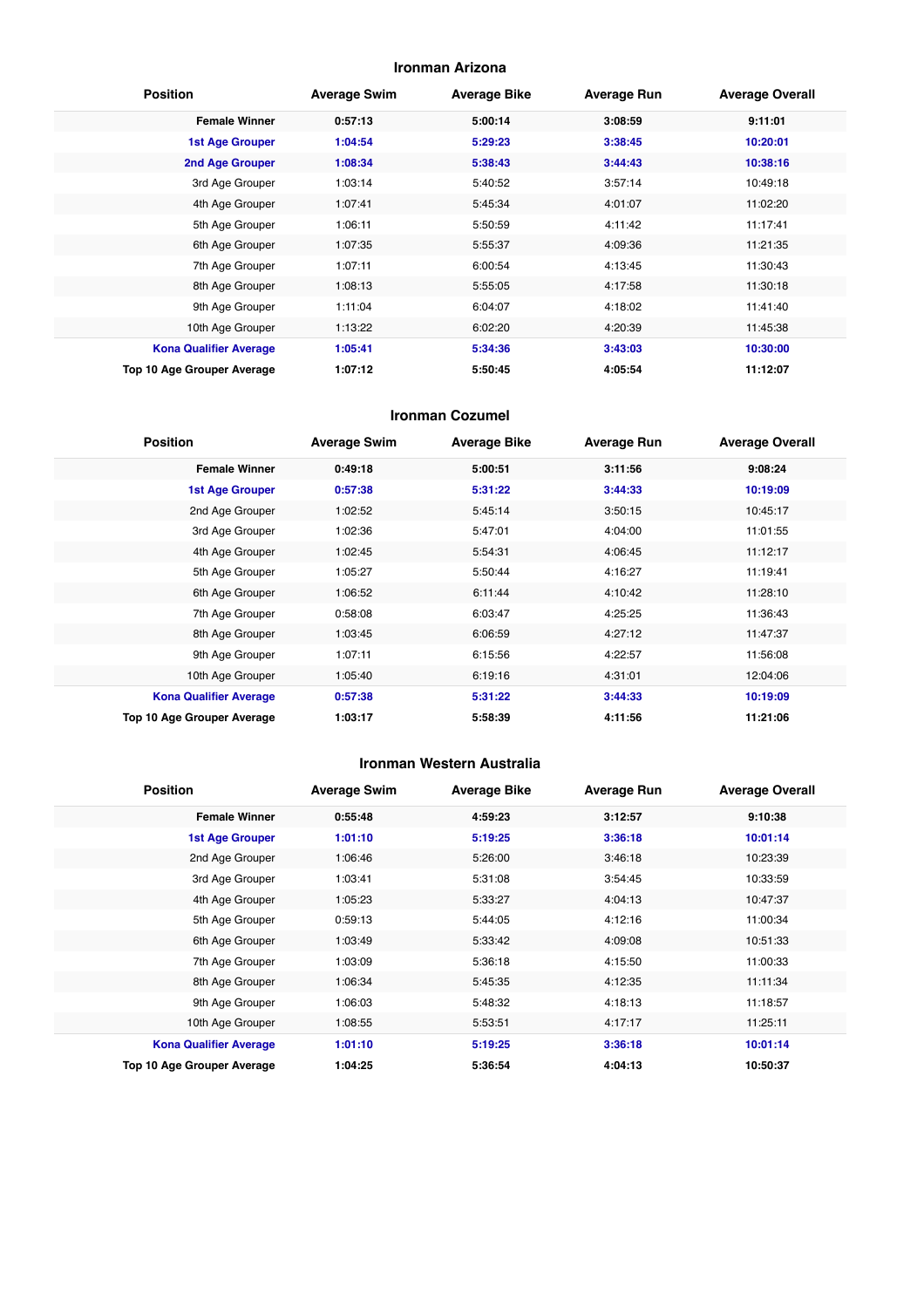#### **Ironman Arizona**

| <b>Position</b>               | <b>Average Swim</b> | <b>Average Bike</b> | <b>Average Run</b> | <b>Average Overall</b> |
|-------------------------------|---------------------|---------------------|--------------------|------------------------|
| <b>Female Winner</b>          | 0:57:13             | 5:00:14             | 3:08:59            | 9:11:01                |
| <b>1st Age Grouper</b>        | 1:04:54             | 5:29:23             | 3:38:45            | 10:20:01               |
| 2nd Age Grouper               | 1:08:34             | 5:38:43             | 3:44:43            | 10:38:16               |
| 3rd Age Grouper               | 1:03:14             | 5:40:52             | 3:57:14            | 10:49:18               |
| 4th Age Grouper               | 1:07:41             | 5:45:34             | 4:01:07            | 11:02:20               |
| 5th Age Grouper               | 1:06:11             | 5:50:59             | 4:11:42            | 11:17:41               |
| 6th Age Grouper               | 1:07:35             | 5:55:37             | 4:09:36            | 11:21:35               |
| 7th Age Grouper               | 1:07:11             | 6:00:54             | 4:13:45            | 11:30:43               |
| 8th Age Grouper               | 1:08:13             | 5:55:05             | 4:17:58            | 11:30:18               |
| 9th Age Grouper               | 1:11:04             | 6:04:07             | 4:18:02            | 11:41:40               |
| 10th Age Grouper              | 1:13:22             | 6:02:20             | 4:20:39            | 11:45:38               |
| <b>Kona Qualifier Average</b> | 1:05:41             | 5:34:36             | 3:43:03            | 10:30:00               |
| Top 10 Age Grouper Average    | 1:07:12             | 5:50:45             | 4:05:54            | 11:12:07               |

#### **Ironman Cozumel**

| <b>Position</b>                   | <b>Average Swim</b> | <b>Average Bike</b> | <b>Average Run</b> | <b>Average Overall</b> |
|-----------------------------------|---------------------|---------------------|--------------------|------------------------|
| <b>Female Winner</b>              | 0:49:18             | 5:00:51             | 3:11:56            | 9:08:24                |
| <b>1st Age Grouper</b>            | 0:57:38             | 5:31:22             | 3:44:33            | 10:19:09               |
| 2nd Age Grouper                   | 1:02:52             | 5:45:14             | 3:50:15            | 10:45:17               |
| 3rd Age Grouper                   | 1:02:36             | 5:47:01             | 4:04:00            | 11:01:55               |
| 4th Age Grouper                   | 1:02:45             | 5:54:31             | 4:06:45            | 11:12:17               |
| 5th Age Grouper                   | 1:05:27             | 5:50:44             | 4:16:27            | 11:19:41               |
| 6th Age Grouper                   | 1:06:52             | 6:11:44             | 4:10:42            | 11:28:10               |
| 7th Age Grouper                   | 0:58:08             | 6:03:47             | 4:25:25            | 11:36:43               |
| 8th Age Grouper                   | 1:03:45             | 6:06:59             | 4:27:12            | 11:47:37               |
| 9th Age Grouper                   | 1:07:11             | 6:15:56             | 4:22:57            | 11:56:08               |
| 10th Age Grouper                  | 1:05:40             | 6:19:16             | 4:31:01            | 12:04:06               |
| <b>Kona Qualifier Average</b>     | 0:57:38             | 5:31:22             | 3:44:33            | 10:19:09               |
| <b>Top 10 Age Grouper Average</b> | 1:03:17             | 5:58:39             | 4:11:56            | 11:21:06               |

#### **Ironman Western Australia**

| <b>Position</b>               | <b>Average Swim</b> | <b>Average Bike</b> | <b>Average Run</b> | <b>Average Overall</b> |
|-------------------------------|---------------------|---------------------|--------------------|------------------------|
| <b>Female Winner</b>          | 0:55:48             | 4:59:23             | 3:12:57            | 9:10:38                |
| <b>1st Age Grouper</b>        | 1:01:10             | 5:19:25             | 3:36:18            | 10:01:14               |
| 2nd Age Grouper               | 1:06:46             | 5:26:00             | 3:46:18            | 10:23:39               |
| 3rd Age Grouper               | 1:03:41             | 5:31:08             | 3:54:45            | 10:33:59               |
| 4th Age Grouper               | 1:05:23             | 5:33:27             | 4:04:13            | 10:47:37               |
| 5th Age Grouper               | 0:59:13             | 5:44:05             | 4:12:16            | 11:00:34               |
| 6th Age Grouper               | 1:03:49             | 5:33:42             | 4:09:08            | 10:51:33               |
| 7th Age Grouper               | 1:03:09             | 5:36:18             | 4:15:50            | 11:00:33               |
| 8th Age Grouper               | 1:06:34             | 5:45:35             | 4:12:35            | 11:11:34               |
| 9th Age Grouper               | 1:06:03             | 5:48:32             | 4:18:13            | 11:18:57               |
| 10th Age Grouper              | 1:08:55             | 5:53:51             | 4:17:17            | 11:25:11               |
| <b>Kona Qualifier Average</b> | 1:01:10             | 5:19:25             | 3:36:18            | 10:01:14               |
| Top 10 Age Grouper Average    | 1:04:25             | 5:36:54             | 4:04:13            | 10:50:37               |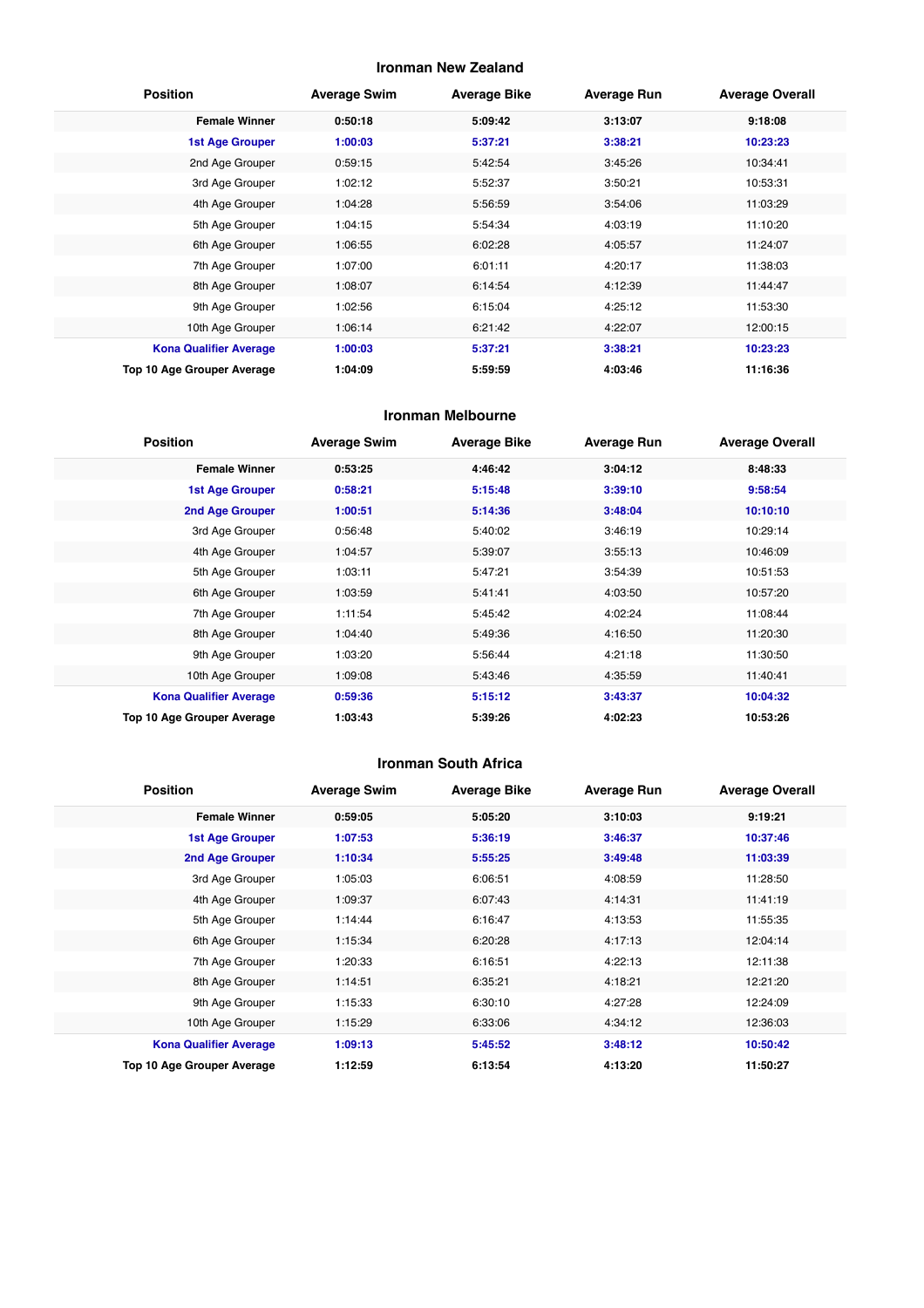#### **Ironman New Zealand**

| <b>Position</b>               | <b>Average Swim</b> | <b>Average Bike</b> | <b>Average Run</b> | <b>Average Overall</b> |
|-------------------------------|---------------------|---------------------|--------------------|------------------------|
| <b>Female Winner</b>          | 0:50:18             | 5:09:42             | 3:13:07            | 9:18:08                |
| <b>1st Age Grouper</b>        | 1:00:03             | 5:37:21             | 3:38:21            | 10:23:23               |
| 2nd Age Grouper               | 0:59:15             | 5:42:54             | 3:45:26            | 10:34:41               |
| 3rd Age Grouper               | 1:02:12             | 5:52:37             | 3:50:21            | 10:53:31               |
| 4th Age Grouper               | 1:04:28             | 5:56:59             | 3:54:06            | 11:03:29               |
| 5th Age Grouper               | 1:04:15             | 5:54:34             | 4:03:19            | 11:10:20               |
| 6th Age Grouper               | 1:06:55             | 6:02:28             | 4:05:57            | 11:24:07               |
| 7th Age Grouper               | 1:07:00             | 6:01:11             | 4:20:17            | 11:38:03               |
| 8th Age Grouper               | 1:08:07             | 6:14:54             | 4:12:39            | 11:44:47               |
| 9th Age Grouper               | 1:02:56             | 6:15:04             | 4:25:12            | 11:53:30               |
| 10th Age Grouper              | 1:06:14             | 6:21:42             | 4:22:07            | 12:00:15               |
| <b>Kona Qualifier Average</b> | 1:00:03             | 5:37:21             | 3:38:21            | 10:23:23               |
| Top 10 Age Grouper Average    | 1:04:09             | 5:59:59             | 4:03:46            | 11:16:36               |

#### **Ironman Melbourne**

| <b>Position</b>               | <b>Average Swim</b> | <b>Average Bike</b> | <b>Average Run</b> | <b>Average Overall</b> |
|-------------------------------|---------------------|---------------------|--------------------|------------------------|
| <b>Female Winner</b>          | 0:53:25             | 4:46:42             | 3:04:12            | 8:48:33                |
| <b>1st Age Grouper</b>        | 0:58:21             | 5:15:48             | 3:39:10            | 9:58:54                |
| 2nd Age Grouper               | 1:00:51             | 5:14:36             | 3:48:04            | 10:10:10               |
| 3rd Age Grouper               | 0:56:48             | 5:40:02             | 3:46:19            | 10:29:14               |
| 4th Age Grouper               | 1:04:57             | 5:39:07             | 3:55:13            | 10:46:09               |
| 5th Age Grouper               | 1:03:11             | 5:47:21             | 3:54:39            | 10:51:53               |
| 6th Age Grouper               | 1:03:59             | 5:41:41             | 4:03:50            | 10:57:20               |
| 7th Age Grouper               | 1:11:54             | 5:45:42             | 4:02:24            | 11:08:44               |
| 8th Age Grouper               | 1:04:40             | 5:49:36             | 4:16:50            | 11:20:30               |
| 9th Age Grouper               | 1:03:20             | 5:56:44             | 4:21:18            | 11:30:50               |
| 10th Age Grouper              | 1:09:08             | 5:43:46             | 4:35:59            | 11:40:41               |
| <b>Kona Qualifier Average</b> | 0:59:36             | 5:15:12             | 3:43:37            | 10:04:32               |
| Top 10 Age Grouper Average    | 1:03:43             | 5:39:26             | 4:02:23            | 10:53:26               |

#### **Ironman South Africa**

| <b>Position</b>               | <b>Average Swim</b> | <b>Average Bike</b> | <b>Average Run</b> | <b>Average Overall</b> |
|-------------------------------|---------------------|---------------------|--------------------|------------------------|
| <b>Female Winner</b>          | 0:59:05             | 5:05:20             | 3:10:03            | 9:19:21                |
| <b>1st Age Grouper</b>        | 1:07:53             | 5:36:19             | 3:46:37            | 10:37:46               |
| <b>2nd Age Grouper</b>        | 1:10:34             | 5:55:25             | 3:49:48            | 11:03:39               |
| 3rd Age Grouper               | 1:05:03             | 6:06:51             | 4:08:59            | 11:28:50               |
| 4th Age Grouper               | 1:09:37             | 6:07:43             | 4:14:31            | 11:41:19               |
| 5th Age Grouper               | 1:14:44             | 6:16:47             | 4:13:53            | 11:55:35               |
| 6th Age Grouper               | 1:15:34             | 6:20:28             | 4:17:13            | 12:04:14               |
| 7th Age Grouper               | 1:20:33             | 6:16:51             | 4:22:13            | 12:11:38               |
| 8th Age Grouper               | 1:14:51             | 6:35:21             | 4:18:21            | 12:21:20               |
| 9th Age Grouper               | 1:15:33             | 6:30:10             | 4:27:28            | 12:24:09               |
| 10th Age Grouper              | 1:15:29             | 6:33:06             | 4:34:12            | 12:36:03               |
| <b>Kona Qualifier Average</b> | 1:09:13             | 5:45:52             | 3:48:12            | 10:50:42               |
| Top 10 Age Grouper Average    | 1:12:59             | 6:13:54             | 4:13:20            | 11:50:27               |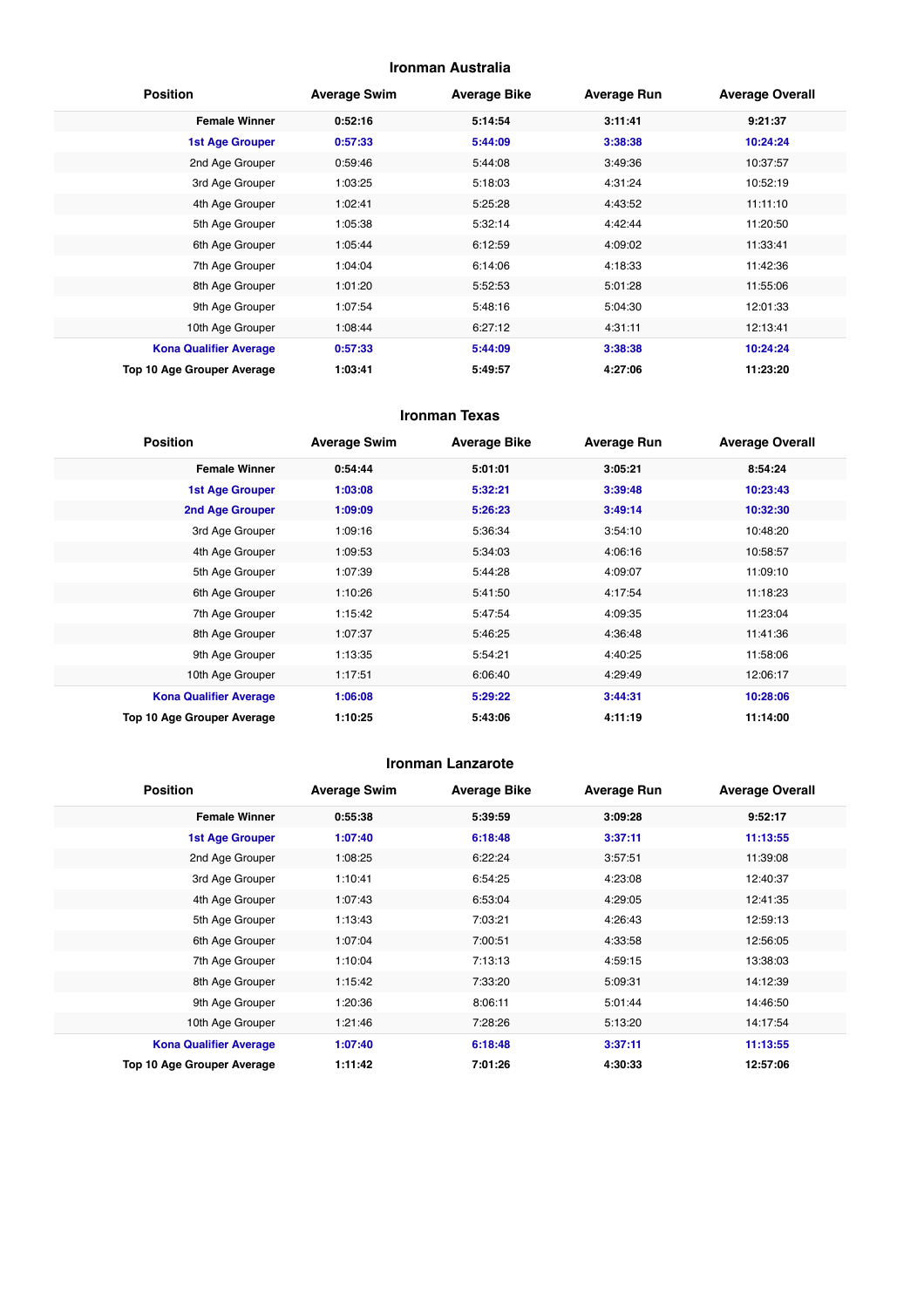#### **Ironman Australia**

| <b>Position</b>               | <b>Average Swim</b> | <b>Average Bike</b> | <b>Average Run</b> | <b>Average Overall</b> |
|-------------------------------|---------------------|---------------------|--------------------|------------------------|
| <b>Female Winner</b>          | 0:52:16             | 5:14:54             | 3:11:41            | 9:21:37                |
| <b>1st Age Grouper</b>        | 0:57:33             | 5:44:09             | 3:38:38            | 10:24:24               |
| 2nd Age Grouper               | 0:59:46             | 5:44:08             | 3:49:36            | 10:37:57               |
| 3rd Age Grouper               | 1:03:25             | 5:18:03             | 4:31:24            | 10:52:19               |
| 4th Age Grouper               | 1:02:41             | 5:25:28             | 4:43:52            | 11:11:10               |
| 5th Age Grouper               | 1:05:38             | 5:32:14             | 4:42:44            | 11:20:50               |
| 6th Age Grouper               | 1:05:44             | 6:12:59             | 4:09:02            | 11:33:41               |
| 7th Age Grouper               | 1:04:04             | 6:14:06             | 4:18:33            | 11:42:36               |
| 8th Age Grouper               | 1:01:20             | 5:52:53             | 5:01:28            | 11:55:06               |
| 9th Age Grouper               | 1:07:54             | 5:48:16             | 5:04:30            | 12:01:33               |
| 10th Age Grouper              | 1:08:44             | 6:27:12             | 4:31:11            | 12:13:41               |
| <b>Kona Qualifier Average</b> | 0:57:33             | 5:44:09             | 3:38:38            | 10:24:24               |
| Top 10 Age Grouper Average    | 1:03:41             | 5:49:57             | 4:27:06            | 11:23:20               |

#### **Ironman Texas**

| <b>Position</b>               | <b>Average Swim</b> | <b>Average Bike</b> | <b>Average Run</b> | <b>Average Overall</b> |
|-------------------------------|---------------------|---------------------|--------------------|------------------------|
| <b>Female Winner</b>          | 0:54:44             | 5:01:01             | 3:05:21            | 8:54:24                |
| <b>1st Age Grouper</b>        | 1:03:08             | 5:32:21             | 3:39:48            | 10:23:43               |
| 2nd Age Grouper               | 1:09:09             | 5:26:23             | 3:49:14            | 10:32:30               |
| 3rd Age Grouper               | 1:09:16             | 5:36:34             | 3:54:10            | 10:48:20               |
| 4th Age Grouper               | 1:09:53             | 5:34:03             | 4:06:16            | 10:58:57               |
| 5th Age Grouper               | 1:07:39             | 5:44:28             | 4:09:07            | 11:09:10               |
| 6th Age Grouper               | 1:10:26             | 5:41:50             | 4:17:54            | 11:18:23               |
| 7th Age Grouper               | 1:15:42             | 5:47:54             | 4:09:35            | 11:23:04               |
| 8th Age Grouper               | 1:07:37             | 5:46:25             | 4:36:48            | 11:41:36               |
| 9th Age Grouper               | 1:13:35             | 5:54:21             | 4:40:25            | 11:58:06               |
| 10th Age Grouper              | 1:17:51             | 6:06:40             | 4:29:49            | 12:06:17               |
| <b>Kona Qualifier Average</b> | 1:06:08             | 5:29:22             | 3:44:31            | 10:28:06               |
| Top 10 Age Grouper Average    | 1:10:25             | 5:43:06             | 4:11:19            | 11:14:00               |

#### **Ironman Lanzarote**

| <b>Position</b>               | <b>Average Swim</b> | <b>Average Bike</b> | <b>Average Run</b> | <b>Average Overall</b> |
|-------------------------------|---------------------|---------------------|--------------------|------------------------|
| <b>Female Winner</b>          | 0:55:38             | 5:39:59             | 3:09:28            | 9:52:17                |
| <b>1st Age Grouper</b>        | 1:07:40             | 6:18:48             | 3:37:11            | 11:13:55               |
| 2nd Age Grouper               | 1:08:25             | 6:22:24             | 3:57:51            | 11:39:08               |
| 3rd Age Grouper               | 1:10:41             | 6:54:25             | 4:23:08            | 12:40:37               |
| 4th Age Grouper               | 1:07:43             | 6:53:04             | 4:29:05            | 12:41:35               |
| 5th Age Grouper               | 1:13:43             | 7:03:21             | 4:26:43            | 12:59:13               |
| 6th Age Grouper               | 1:07:04             | 7:00:51             | 4:33:58            | 12:56:05               |
| 7th Age Grouper               | 1:10:04             | 7:13:13             | 4:59:15            | 13:38:03               |
| 8th Age Grouper               | 1:15:42             | 7:33:20             | 5:09:31            | 14:12:39               |
| 9th Age Grouper               | 1:20:36             | 8:06:11             | 5:01:44            | 14:46:50               |
| 10th Age Grouper              | 1:21:46             | 7:28:26             | 5:13:20            | 14:17:54               |
| <b>Kona Qualifier Average</b> | 1:07:40             | 6:18:48             | 3:37:11            | 11:13:55               |
| Top 10 Age Grouper Average    | 1:11:42             | 7:01:26             | 4:30:33            | 12:57:06               |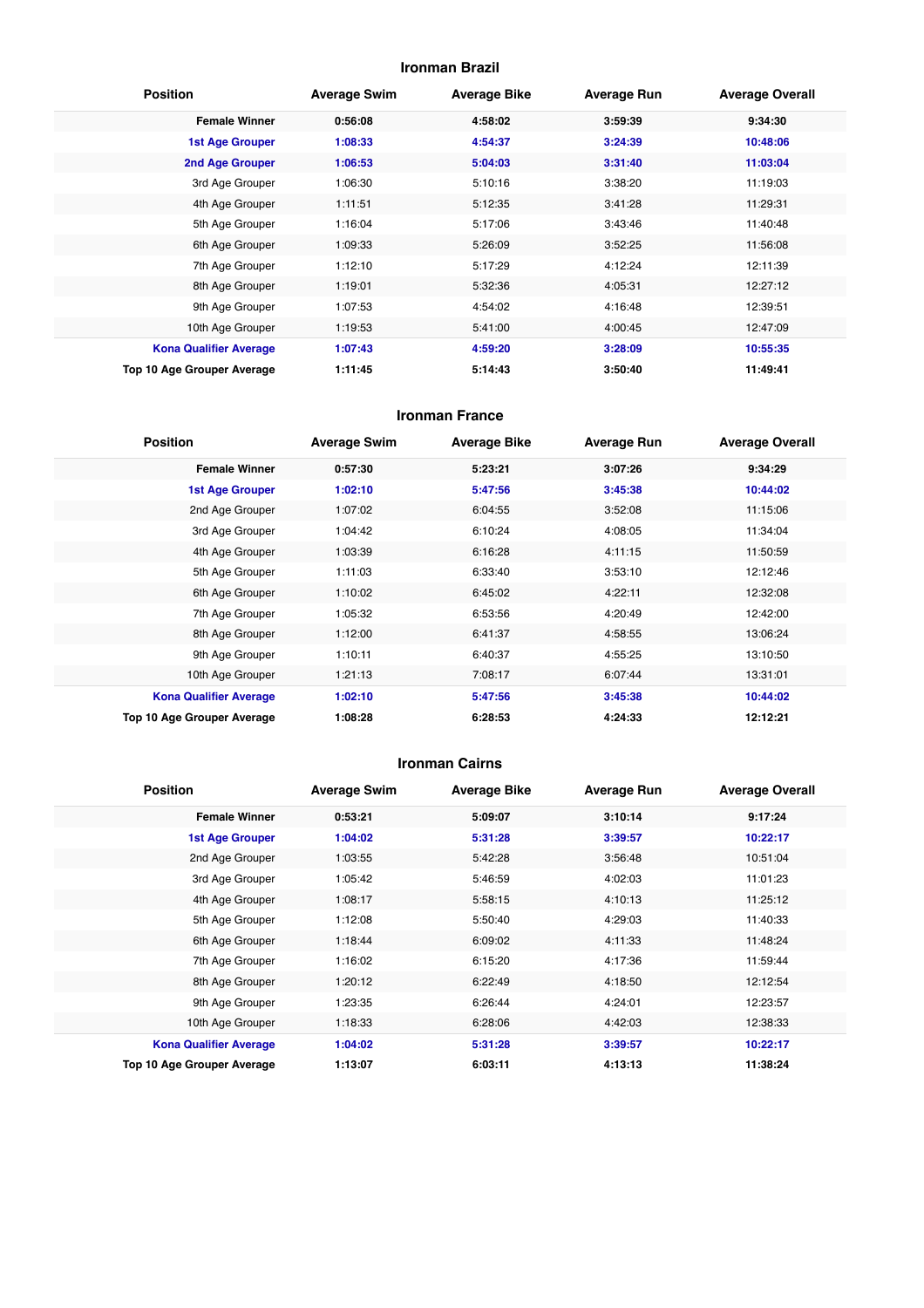#### **Ironman Brazil**

| <b>Position</b>               | <b>Average Swim</b> | <b>Average Bike</b> | <b>Average Run</b> | <b>Average Overall</b> |
|-------------------------------|---------------------|---------------------|--------------------|------------------------|
| <b>Female Winner</b>          | 0:56:08             | 4:58:02             | 3:59:39            | 9:34:30                |
| <b>1st Age Grouper</b>        | 1:08:33             | 4:54:37             | 3:24:39            | 10:48:06               |
| 2nd Age Grouper               | 1:06:53             | 5:04:03             | 3:31:40            | 11:03:04               |
| 3rd Age Grouper               | 1:06:30             | 5:10:16             | 3:38:20            | 11:19:03               |
| 4th Age Grouper               | 1:11:51             | 5:12:35             | 3:41:28            | 11:29:31               |
| 5th Age Grouper               | 1:16:04             | 5:17:06             | 3:43:46            | 11:40:48               |
| 6th Age Grouper               | 1:09:33             | 5:26:09             | 3:52:25            | 11:56:08               |
| 7th Age Grouper               | 1:12:10             | 5:17:29             | 4:12:24            | 12:11:39               |
| 8th Age Grouper               | 1:19:01             | 5:32:36             | 4:05:31            | 12:27:12               |
| 9th Age Grouper               | 1:07:53             | 4:54:02             | 4:16:48            | 12:39:51               |
| 10th Age Grouper              | 1:19:53             | 5:41:00             | 4:00:45            | 12:47:09               |
| <b>Kona Qualifier Average</b> | 1:07:43             | 4:59:20             | 3:28:09            | 10:55:35               |
| Top 10 Age Grouper Average    | 1:11:45             | 5:14:43             | 3:50:40            | 11:49:41               |

#### **Ironman France**

| <b>Position</b>               | <b>Average Swim</b> | <b>Average Bike</b> | <b>Average Run</b> | <b>Average Overall</b> |
|-------------------------------|---------------------|---------------------|--------------------|------------------------|
| <b>Female Winner</b>          | 0:57:30             | 5:23:21             | 3:07:26            | 9:34:29                |
| <b>1st Age Grouper</b>        | 1:02:10             | 5:47:56             | 3:45:38            | 10:44:02               |
| 2nd Age Grouper               | 1:07:02             | 6:04:55             | 3:52:08            | 11:15:06               |
| 3rd Age Grouper               | 1:04:42             | 6:10:24             | 4:08:05            | 11:34:04               |
| 4th Age Grouper               | 1:03:39             | 6:16:28             | 4:11:15            | 11:50:59               |
| 5th Age Grouper               | 1:11:03             | 6:33:40             | 3:53:10            | 12:12:46               |
| 6th Age Grouper               | 1:10:02             | 6:45:02             | 4:22:11            | 12:32:08               |
| 7th Age Grouper               | 1:05:32             | 6:53:56             | 4:20:49            | 12:42:00               |
| 8th Age Grouper               | 1:12:00             | 6:41:37             | 4:58:55            | 13:06:24               |
| 9th Age Grouper               | 1:10:11             | 6:40:37             | 4:55:25            | 13:10:50               |
| 10th Age Grouper              | 1:21:13             | 7:08:17             | 6:07:44            | 13:31:01               |
| <b>Kona Qualifier Average</b> | 1:02:10             | 5:47:56             | 3:45:38            | 10:44:02               |
| Top 10 Age Grouper Average    | 1:08:28             | 6:28:53             | 4:24:33            | 12:12:21               |

#### **Ironman Cairns**

| <b>Position</b>               | <b>Average Swim</b> | <b>Average Bike</b> | <b>Average Run</b> | <b>Average Overall</b> |
|-------------------------------|---------------------|---------------------|--------------------|------------------------|
| <b>Female Winner</b>          | 0:53:21             | 5:09:07             | 3:10:14            | 9:17:24                |
| <b>1st Age Grouper</b>        | 1:04:02             | 5:31:28             | 3:39:57            | 10:22:17               |
| 2nd Age Grouper               | 1:03:55             | 5:42:28             | 3:56:48            | 10:51:04               |
| 3rd Age Grouper               | 1:05:42             | 5:46:59             | 4:02:03            | 11:01:23               |
| 4th Age Grouper               | 1:08:17             | 5:58:15             | 4:10:13            | 11:25:12               |
| 5th Age Grouper               | 1:12:08             | 5:50:40             | 4:29:03            | 11:40:33               |
| 6th Age Grouper               | 1:18:44             | 6:09:02             | 4:11:33            | 11:48:24               |
| 7th Age Grouper               | 1:16:02             | 6:15:20             | 4:17:36            | 11:59:44               |
| 8th Age Grouper               | 1:20:12             | 6:22:49             | 4:18:50            | 12:12:54               |
| 9th Age Grouper               | 1:23:35             | 6:26:44             | 4:24:01            | 12:23:57               |
| 10th Age Grouper              | 1:18:33             | 6:28:06             | 4:42:03            | 12:38:33               |
| <b>Kona Qualifier Average</b> | 1:04:02             | 5:31:28             | 3:39:57            | 10:22:17               |
| Top 10 Age Grouper Average    | 1:13:07             | 6:03:11             | 4:13:13            | 11:38:24               |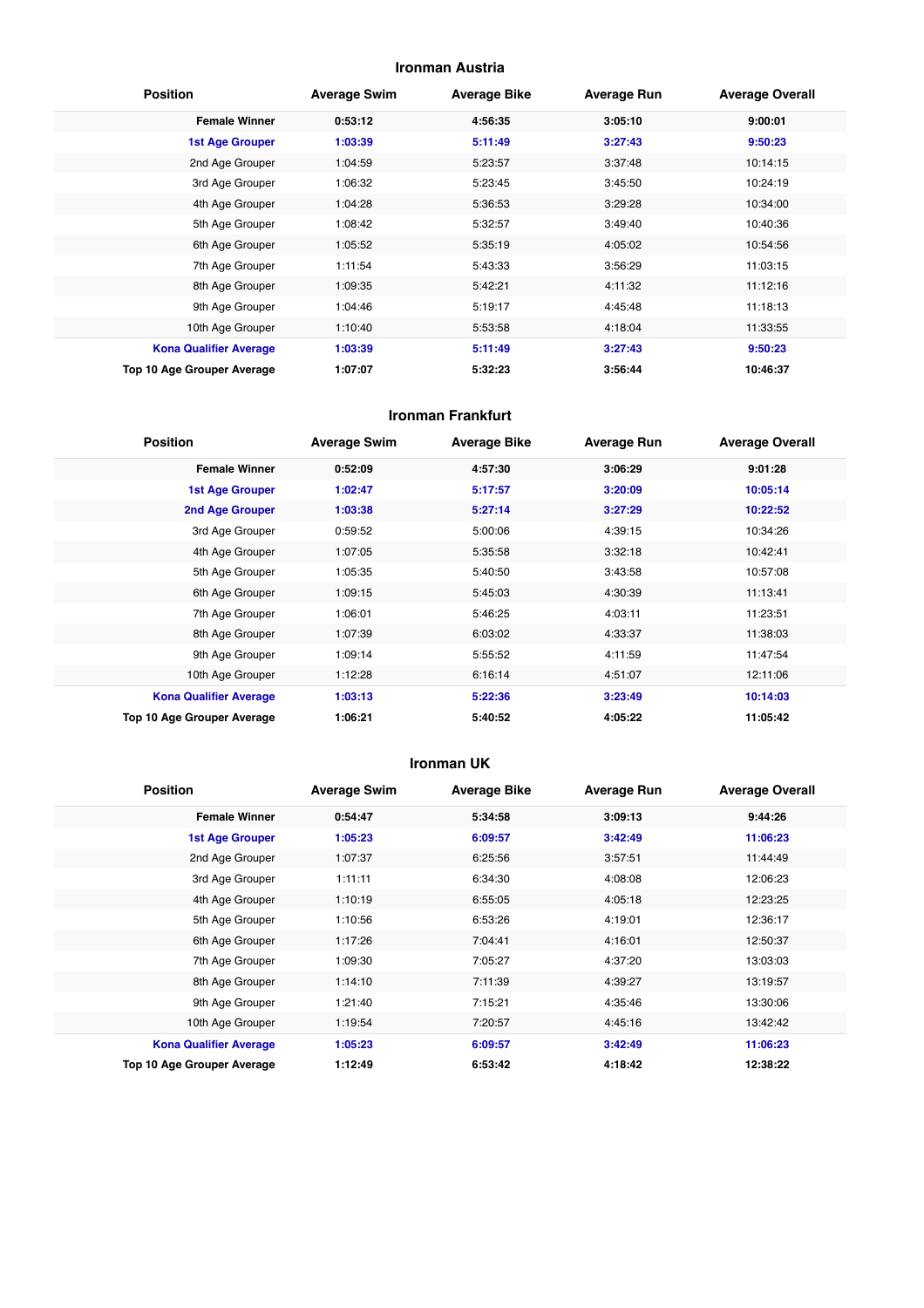#### **Ironman Austria**

| <b>Position</b>               | <b>Average Swim</b> | <b>Average Bike</b> | <b>Average Run</b> | <b>Average Overall</b> |
|-------------------------------|---------------------|---------------------|--------------------|------------------------|
| <b>Female Winner</b>          | 0:53:12             | 4:56:35             | 3:05:10            | 9:00:01                |
| <b>1st Age Grouper</b>        | 1:03:39             | 5:11:49             | 3:27:43            | 9:50:23                |
| 2nd Age Grouper               | 1:04:59             | 5:23:57             | 3:37:48            | 10:14:15               |
| 3rd Age Grouper               | 1:06:32             | 5:23:45             | 3:45:50            | 10:24:19               |
| 4th Age Grouper               | 1:04:28             | 5:36:53             | 3:29:28            | 10:34:00               |
| 5th Age Grouper               | 1:08:42             | 5:32:57             | 3:49:40            | 10:40:36               |
| 6th Age Grouper               | 1:05:52             | 5:35:19             | 4:05:02            | 10:54:56               |
| 7th Age Grouper               | 1:11:54             | 5:43:33             | 3:56:29            | 11:03:15               |
| 8th Age Grouper               | 1:09:35             | 5:42:21             | 4:11:32            | 11:12:16               |
| 9th Age Grouper               | 1:04:46             | 5:19:17             | 4:45:48            | 11:18:13               |
| 10th Age Grouper              | 1:10:40             | 5:53:58             | 4:18:04            | 11:33:55               |
| <b>Kona Qualifier Average</b> | 1:03:39             | 5:11:49             | 3:27:43            | 9:50:23                |
| Top 10 Age Grouper Average    | 1:07:07             | 5:32:23             | 3:56:44            | 10:46:37               |

#### **Ironman Frankfurt**

| <b>Position</b>               | <b>Average Swim</b> | <b>Average Bike</b> | <b>Average Run</b> | <b>Average Overall</b> |
|-------------------------------|---------------------|---------------------|--------------------|------------------------|
| <b>Female Winner</b>          | 0:52:09             | 4:57:30             | 3:06:29            | 9:01:28                |
| <b>1st Age Grouper</b>        | 1:02:47             | 5:17:57             | 3:20:09            | 10:05:14               |
| 2nd Age Grouper               | 1:03:38             | 5:27:14             | 3:27:29            | 10:22:52               |
| 3rd Age Grouper               | 0:59:52             | 5:00:06             | 4:39:15            | 10:34:26               |
| 4th Age Grouper               | 1:07:05             | 5:35:58             | 3:32:18            | 10:42:41               |
| 5th Age Grouper               | 1:05:35             | 5:40:50             | 3:43:58            | 10:57:08               |
| 6th Age Grouper               | 1:09:15             | 5:45:03             | 4:30:39            | 11:13:41               |
| 7th Age Grouper               | 1:06:01             | 5:46:25             | 4:03:11            | 11:23:51               |
| 8th Age Grouper               | 1:07:39             | 6:03:02             | 4:33:37            | 11:38:03               |
| 9th Age Grouper               | 1:09:14             | 5:55:52             | 4:11:59            | 11:47:54               |
| 10th Age Grouper              | 1:12:28             | 6:16:14             | 4:51:07            | 12:11:06               |
| <b>Kona Qualifier Average</b> | 1:03:13             | 5:22:36             | 3:23:49            | 10:14:03               |
| Top 10 Age Grouper Average    | 1:06:21             | 5:40:52             | 4:05:22            | 11:05:42               |

#### **Ironman UK**

| <b>Position</b>               | <b>Average Swim</b> | <b>Average Bike</b> | <b>Average Run</b> | <b>Average Overall</b> |
|-------------------------------|---------------------|---------------------|--------------------|------------------------|
| <b>Female Winner</b>          | 0:54:47             | 5:34:58             | 3:09:13            | 9:44:26                |
| <b>1st Age Grouper</b>        | 1:05:23             | 6:09:57             | 3:42:49            | 11:06:23               |
| 2nd Age Grouper               | 1:07:37             | 6:25:56             | 3:57:51            | 11:44:49               |
| 3rd Age Grouper               | 1:11:11             | 6:34:30             | 4:08:08            | 12:06:23               |
| 4th Age Grouper               | 1:10:19             | 6:55:05             | 4:05:18            | 12:23:25               |
| 5th Age Grouper               | 1:10:56             | 6:53:26             | 4:19:01            | 12:36:17               |
| 6th Age Grouper               | 1:17:26             | 7:04:41             | 4:16:01            | 12:50:37               |
| 7th Age Grouper               | 1:09:30             | 7:05:27             | 4:37:20            | 13:03:03               |
| 8th Age Grouper               | 1:14:10             | 7:11:39             | 4:39:27            | 13:19:57               |
| 9th Age Grouper               | 1:21:40             | 7:15:21             | 4:35:46            | 13:30:06               |
| 10th Age Grouper              | 1:19:54             | 7:20:57             | 4:45:16            | 13:42:42               |
| <b>Kona Qualifier Average</b> | 1:05:23             | 6:09:57             | 3:42:49            | 11:06:23               |
| Top 10 Age Grouper Average    | 1:12:49             | 6:53:42             | 4:18:42            | 12:38:22               |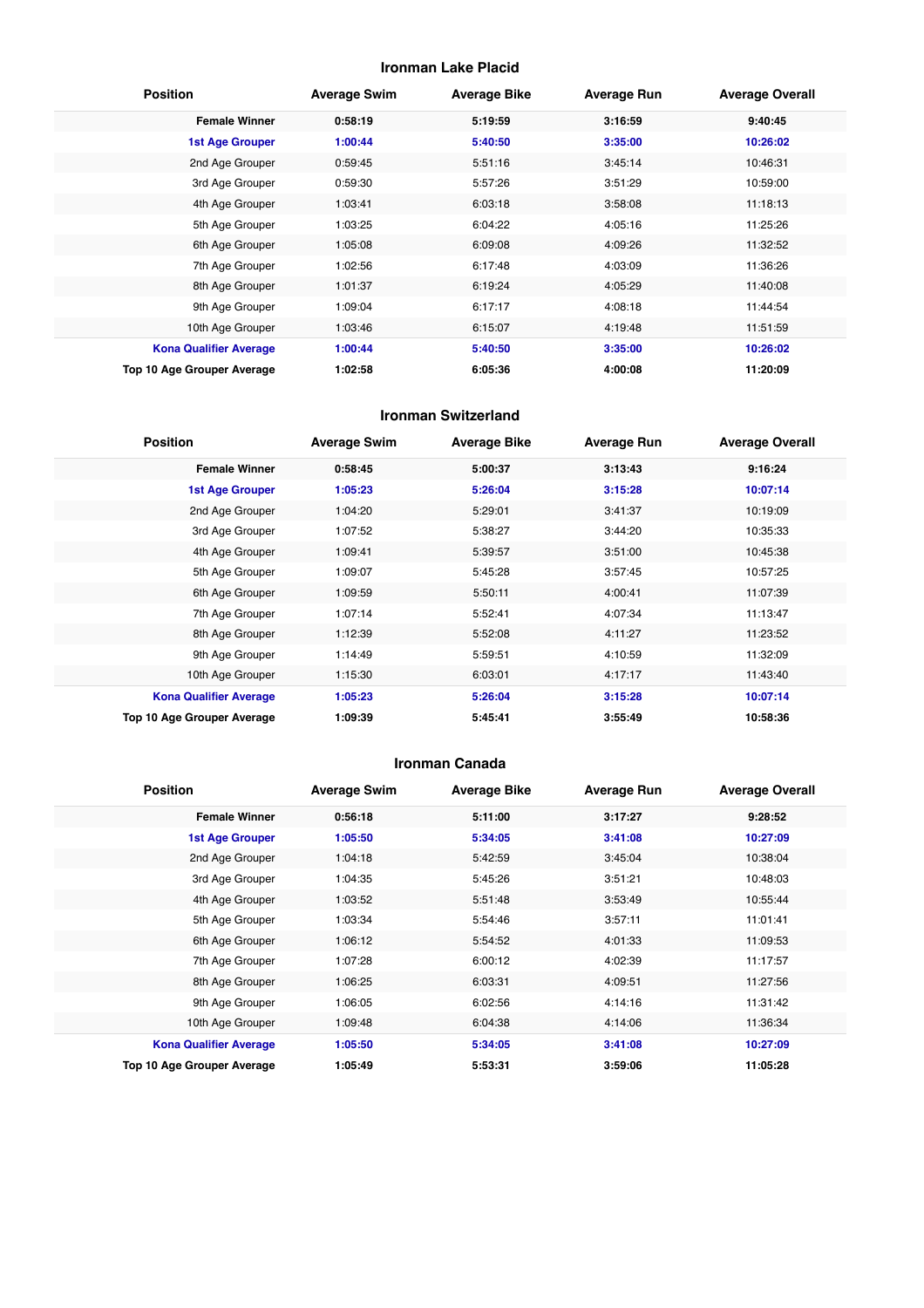#### **Ironman Lake Placid**

| <b>Position</b>               | <b>Average Swim</b> | <b>Average Bike</b> | <b>Average Run</b> | <b>Average Overall</b> |
|-------------------------------|---------------------|---------------------|--------------------|------------------------|
| <b>Female Winner</b>          | 0:58:19             | 5:19:59             | 3:16:59            | 9:40:45                |
| <b>1st Age Grouper</b>        | 1:00:44             | 5:40:50             | 3:35:00            | 10:26:02               |
| 2nd Age Grouper               | 0:59:45             | 5:51:16             | 3:45:14            | 10:46:31               |
| 3rd Age Grouper               | 0:59:30             | 5:57:26             | 3:51:29            | 10:59:00               |
| 4th Age Grouper               | 1:03:41             | 6:03:18             | 3:58:08            | 11:18:13               |
| 5th Age Grouper               | 1:03:25             | 6:04:22             | 4:05:16            | 11:25:26               |
| 6th Age Grouper               | 1:05:08             | 6:09:08             | 4:09:26            | 11:32:52               |
| 7th Age Grouper               | 1:02:56             | 6:17:48             | 4:03:09            | 11:36:26               |
| 8th Age Grouper               | 1:01:37             | 6:19:24             | 4:05:29            | 11:40:08               |
| 9th Age Grouper               | 1:09:04             | 6:17:17             | 4:08:18            | 11:44:54               |
| 10th Age Grouper              | 1:03:46             | 6:15:07             | 4:19:48            | 11:51:59               |
| <b>Kona Qualifier Average</b> | 1:00:44             | 5:40:50             | 3:35:00            | 10:26:02               |
| Top 10 Age Grouper Average    | 1:02:58             | 6:05:36             | 4:00:08            | 11:20:09               |

#### **Ironman Switzerland**

| <b>Position</b>               | <b>Average Swim</b> | <b>Average Bike</b> | <b>Average Run</b> | <b>Average Overall</b> |
|-------------------------------|---------------------|---------------------|--------------------|------------------------|
| <b>Female Winner</b>          | 0:58:45             | 5:00:37             | 3:13:43            | 9:16:24                |
| <b>1st Age Grouper</b>        | 1:05:23             | 5:26:04             | 3:15:28            | 10:07:14               |
| 2nd Age Grouper               | 1:04:20             | 5:29:01             | 3:41:37            | 10:19:09               |
| 3rd Age Grouper               | 1:07:52             | 5:38:27             | 3:44:20            | 10:35:33               |
| 4th Age Grouper               | 1:09:41             | 5:39:57             | 3:51:00            | 10:45:38               |
| 5th Age Grouper               | 1:09:07             | 5:45:28             | 3:57:45            | 10:57:25               |
| 6th Age Grouper               | 1:09:59             | 5:50:11             | 4:00:41            | 11:07:39               |
| 7th Age Grouper               | 1:07:14             | 5:52:41             | 4:07:34            | 11:13:47               |
| 8th Age Grouper               | 1:12:39             | 5:52:08             | 4:11:27            | 11:23:52               |
| 9th Age Grouper               | 1:14:49             | 5:59:51             | 4:10:59            | 11:32:09               |
| 10th Age Grouper              | 1:15:30             | 6:03:01             | 4:17:17            | 11:43:40               |
| <b>Kona Qualifier Average</b> | 1:05:23             | 5:26:04             | 3:15:28            | 10:07:14               |
| Top 10 Age Grouper Average    | 1:09:39             | 5:45:41             | 3:55:49            | 10:58:36               |

#### **Ironman Canada**

| <b>Position</b>               | <b>Average Swim</b> | <b>Average Bike</b> | <b>Average Run</b> | <b>Average Overall</b> |
|-------------------------------|---------------------|---------------------|--------------------|------------------------|
| <b>Female Winner</b>          | 0:56:18             | 5:11:00             | 3:17:27            | 9:28:52                |
| 1st Age Grouper               | 1:05:50             | 5:34:05             | 3:41:08            | 10:27:09               |
| 2nd Age Grouper               | 1:04:18             | 5:42:59             | 3:45:04            | 10:38:04               |
| 3rd Age Grouper               | 1:04:35             | 5:45:26             | 3:51:21            | 10:48:03               |
| 4th Age Grouper               | 1:03:52             | 5:51:48             | 3:53:49            | 10:55:44               |
| 5th Age Grouper               | 1:03:34             | 5:54:46             | 3:57:11            | 11:01:41               |
| 6th Age Grouper               | 1:06:12             | 5:54:52             | 4:01:33            | 11:09:53               |
| 7th Age Grouper               | 1:07:28             | 6:00:12             | 4:02:39            | 11:17:57               |
| 8th Age Grouper               | 1:06:25             | 6:03:31             | 4:09:51            | 11:27:56               |
| 9th Age Grouper               | 1:06:05             | 6:02:56             | 4:14:16            | 11:31:42               |
| 10th Age Grouper              | 1:09:48             | 6:04:38             | 4:14:06            | 11:36:34               |
| <b>Kona Qualifier Average</b> | 1:05:50             | 5:34:05             | 3:41:08            | 10:27:09               |
| Top 10 Age Grouper Average    | 1:05:49             | 5:53:31             | 3:59:06            | 11:05:28               |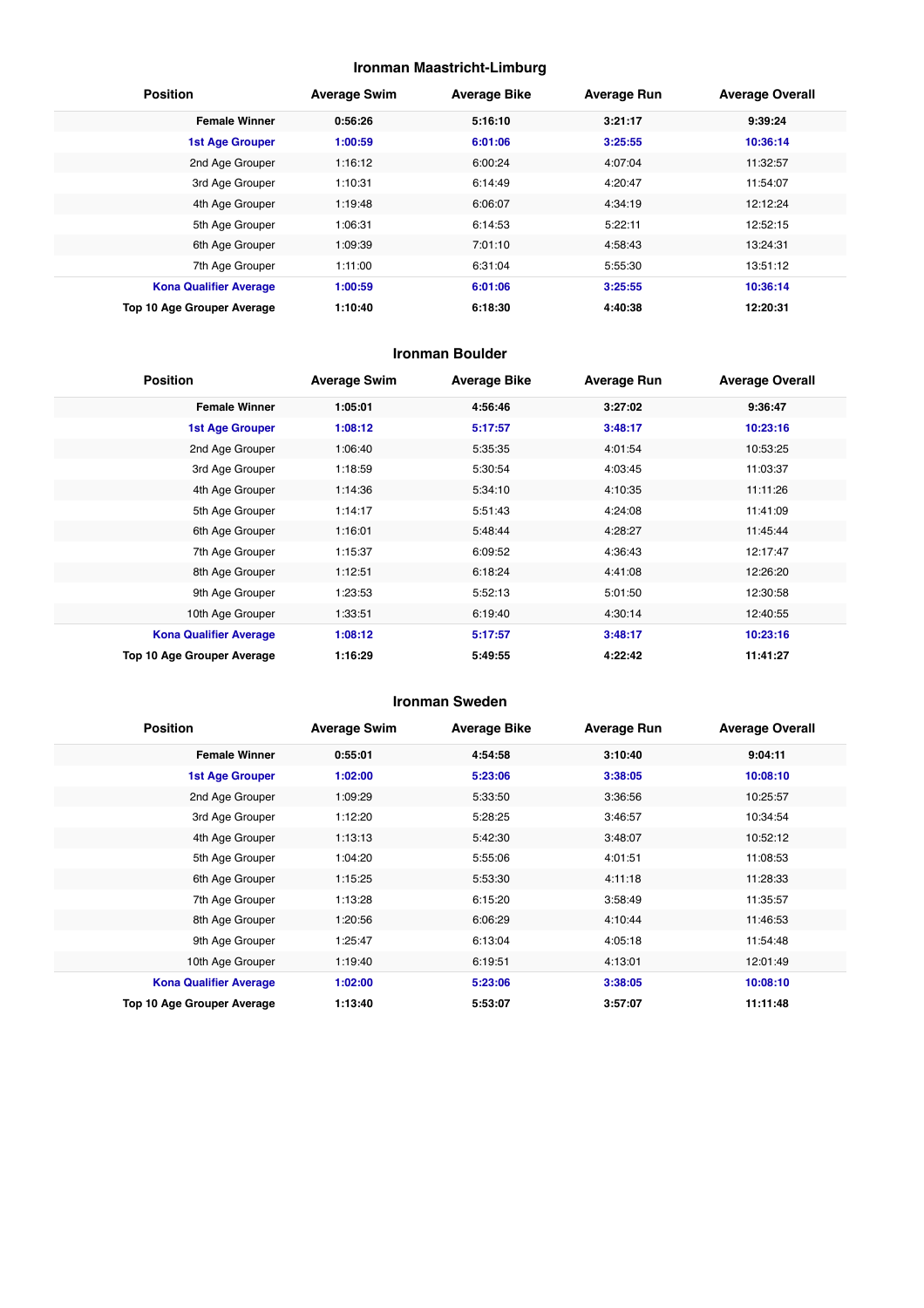#### **Ironman Maastricht-Limburg**

| <b>Position</b>               | <b>Average Swim</b> | <b>Average Bike</b> | <b>Average Run</b> | <b>Average Overall</b> |
|-------------------------------|---------------------|---------------------|--------------------|------------------------|
| <b>Female Winner</b>          | 0:56:26             | 5:16:10             | 3:21:17            | 9:39:24                |
| <b>1st Age Grouper</b>        | 1:00:59             | 6:01:06             | 3:25:55            | 10:36:14               |
| 2nd Age Grouper               | 1:16:12             | 6:00:24             | 4:07:04            | 11:32:57               |
| 3rd Age Grouper               | 1:10:31             | 6:14:49             | 4:20:47            | 11:54:07               |
| 4th Age Grouper               | 1:19:48             | 6:06:07             | 4:34:19            | 12:12:24               |
| 5th Age Grouper               | 1:06:31             | 6:14:53             | 5:22:11            | 12:52:15               |
| 6th Age Grouper               | 1:09:39             | 7:01:10             | 4:58:43            | 13:24:31               |
| 7th Age Grouper               | 1:11:00             | 6:31:04             | 5:55:30            | 13:51:12               |
| <b>Kona Qualifier Average</b> | 1:00:59             | 6:01:06             | 3:25:55            | 10:36:14               |
| Top 10 Age Grouper Average    | 1:10:40             | 6:18:30             | 4:40:38            | 12:20:31               |

#### **Ironman Boulder**

| <b>Position</b>               | <b>Average Swim</b> | <b>Average Bike</b> | <b>Average Run</b> | <b>Average Overall</b> |
|-------------------------------|---------------------|---------------------|--------------------|------------------------|
| <b>Female Winner</b>          | 1:05:01             | 4:56:46             | 3:27:02            | 9:36:47                |
| <b>1st Age Grouper</b>        | 1:08:12             | 5:17:57             | 3:48:17            | 10:23:16               |
| 2nd Age Grouper               | 1:06:40             | 5:35:35             | 4:01:54            | 10:53:25               |
| 3rd Age Grouper               | 1:18:59             | 5:30:54             | 4:03:45            | 11:03:37               |
| 4th Age Grouper               | 1:14:36             | 5:34:10             | 4:10:35            | 11:11:26               |
| 5th Age Grouper               | 1:14:17             | 5:51:43             | 4:24:08            | 11:41:09               |
| 6th Age Grouper               | 1:16:01             | 5:48:44             | 4:28:27            | 11:45:44               |
| 7th Age Grouper               | 1:15:37             | 6:09:52             | 4:36:43            | 12:17:47               |
| 8th Age Grouper               | 1:12:51             | 6:18:24             | 4:41:08            | 12:26:20               |
| 9th Age Grouper               | 1:23:53             | 5:52:13             | 5:01:50            | 12:30:58               |
| 10th Age Grouper              | 1:33:51             | 6:19:40             | 4:30:14            | 12:40:55               |
| <b>Kona Qualifier Average</b> | 1:08:12             | 5:17:57             | 3:48:17            | 10:23:16               |
| Top 10 Age Grouper Average    | 1:16:29             | 5:49:55             | 4:22:42            | 11:41:27               |

#### **Ironman Sweden**

| <b>Position</b>               | <b>Average Swim</b> | <b>Average Bike</b> | <b>Average Run</b> | <b>Average Overall</b> |
|-------------------------------|---------------------|---------------------|--------------------|------------------------|
| <b>Female Winner</b>          | 0:55:01             | 4:54:58             | 3:10:40            | 9:04:11                |
| <b>1st Age Grouper</b>        | 1:02:00             | 5:23:06             | 3:38:05            | 10:08:10               |
| 2nd Age Grouper               | 1:09:29             | 5:33:50             | 3:36:56            | 10:25:57               |
| 3rd Age Grouper               | 1:12:20             | 5:28:25             | 3:46:57            | 10:34:54               |
| 4th Age Grouper               | 1:13:13             | 5:42:30             | 3:48:07            | 10:52:12               |
| 5th Age Grouper               | 1:04:20             | 5:55:06             | 4:01:51            | 11:08:53               |
| 6th Age Grouper               | 1:15:25             | 5:53:30             | 4:11:18            | 11:28:33               |
| 7th Age Grouper               | 1:13:28             | 6:15:20             | 3:58:49            | 11:35:57               |
| 8th Age Grouper               | 1:20:56             | 6:06:29             | 4:10:44            | 11:46:53               |
| 9th Age Grouper               | 1:25:47             | 6:13:04             | 4:05:18            | 11:54:48               |
| 10th Age Grouper              | 1:19:40             | 6:19:51             | 4:13:01            | 12:01:49               |
| <b>Kona Qualifier Average</b> | 1:02:00             | 5:23:06             | 3:38:05            | 10:08:10               |
| Top 10 Age Grouper Average    | 1:13:40             | 5:53:07             | 3:57:07            | 11:11:48               |